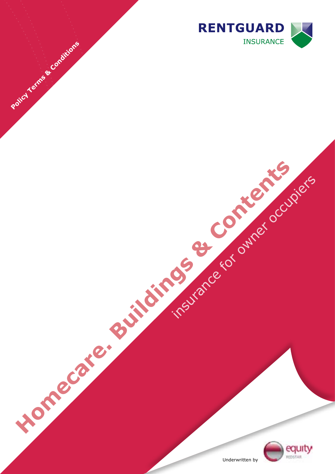



Underwritten by

insurance for owner occupiers

**Homecare. Buildings & Contents** 

Policy Terms & Conditions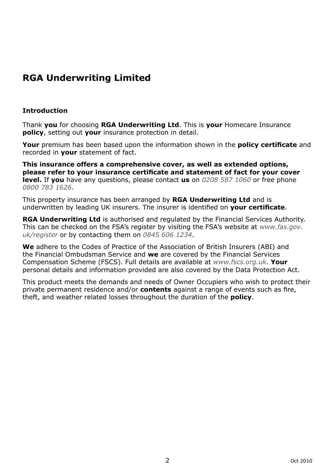# **RGA Underwriting Limited**

# **Introduction**

Thank **you** for choosing **RGA Underwriting Ltd**. This is **your** Homecare Insurance **policy**, setting out **your** insurance protection in detail.

**Your** premium has been based upon the information shown in the **policy certificate** and recorded in **your** statement of fact.

**This insurance offers a comprehensive cover, as well as extended options, please refer to your insurance certificate and statement of fact for your cover level.** If **you** have any questions, please contact **us** on *0208 587 1060* or free phone *0800 783 1626*.

This property insurance has been arranged by **RGA Underwriting Ltd** and is underwritten by leading UK insurers. The insurer is identified on **your certificate**.

**RGA Underwriting Ltd** is authorised and regulated by the Financial Services Authority. This can be checked on the FSA's register by visiting the FSA's website at *www.fas.gov. uk/register* or by contacting them on *0845 606 1234*.

**We** adhere to the Codes of Practice of the Association of British Insurers (ABI) and the Financial Ombudsman Service and **we** are covered by the Financial Services Compensation Scheme (FSCS). Full details are available at *www.fscs.org.uk*. **Your** personal details and information provided are also covered by the Data Protection Act.

This product meets the demands and needs of Owner Occupiers who wish to protect their private permanent residence and/or **contents** against a range of events such as fire, theft, and weather related losses throughout the duration of the **policy**.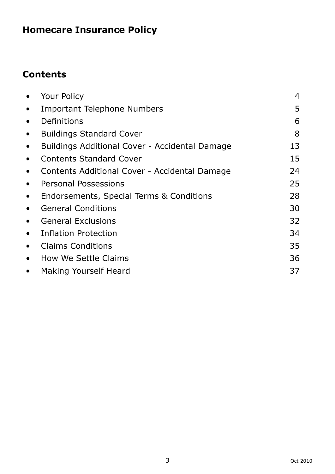# **Homecare Insurance Policy**

# **Contents**

| $\bullet$ | Your Policy                                    | $\overline{4}$ |
|-----------|------------------------------------------------|----------------|
| $\bullet$ | <b>Important Telephone Numbers</b>             | 5              |
| $\bullet$ | Definitions                                    | 6              |
| $\bullet$ | <b>Buildings Standard Cover</b>                | 8              |
| $\bullet$ | Buildings Additional Cover - Accidental Damage | 13             |
| $\bullet$ | <b>Contents Standard Cover</b>                 | 15             |
| $\bullet$ | Contents Additional Cover - Accidental Damage  | 24             |
| $\bullet$ | Personal Possessions                           | 25             |
| $\bullet$ | Endorsements, Special Terms & Conditions       | 28             |
| $\bullet$ | <b>General Conditions</b>                      | 30             |
| $\bullet$ | <b>General Exclusions</b>                      | 32             |
| $\bullet$ | <b>Inflation Protection</b>                    | 34             |
| $\bullet$ | <b>Claims Conditions</b>                       | 35             |
| $\bullet$ | How We Settle Claims                           | 36             |
| $\bullet$ | Making Yourself Heard                          | 37             |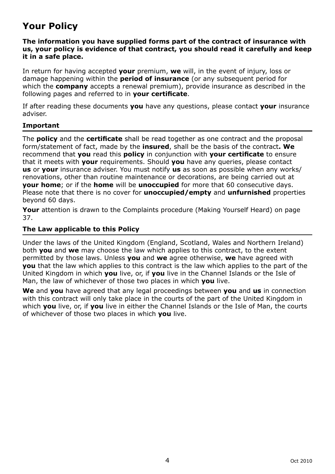# **Your Policy**

### **The information you have supplied forms part of the contract of insurance with us, your policy is evidence of that contract, you should read it carefully and keep it in a safe place.**

In return for having accepted **your** premium, **we** will, in the event of injury, loss or damage happening within the **period of insurance** (or any subsequent period for which the **company** accepts a renewal premium), provide insurance as described in the following pages and referred to in **your certificate**.

If after reading these documents **you** have any questions, please contact **your** insurance adviser.

# **Important**

The **policy** and the **certificate** shall be read together as one contract and the proposal form/statement of fact, made by the **insured**, shall be the basis of the contract**. We** recommend that **you** read this **policy** in conjunction with **your certificate** to ensure that it meets with **your** requirements. Should **you** have any queries, please contact **us** or **your** insurance adviser. You must notify **us** as soon as possible when any works/ renovations, other than routine maintenance or decorations, are being carried out at **your home**; or if the **home** will be **unoccupied** for more that 60 consecutive days. Please note that there is no cover for **unoccupied/empty** and **unfurnished** properties beyond 60 days.

**Your** attention is drawn to the Complaints procedure (Making Yourself Heard) on page 37.

# **The Law applicable to this Policy**

Under the laws of the United Kingdom (England, Scotland, Wales and Northern Ireland) both **you** and **we** may choose the law which applies to this contract, to the extent permitted by those laws. Unless **you** and **we** agree otherwise, **we** have agreed with **you** that the law which applies to this contract is the law which applies to the part of the United Kingdom in which **you** live, or, if **you** live in the Channel Islands or the Isle of Man, the law of whichever of those two places in which **you** live.

**We** and **you** have agreed that any legal proceedings between **you** and **us** in connection with this contract will only take place in the courts of the part of the United Kingdom in which **you** live, or, if **you** live in either the Channel Islands or the Isle of Man, the courts of whichever of those two places in which **you** live.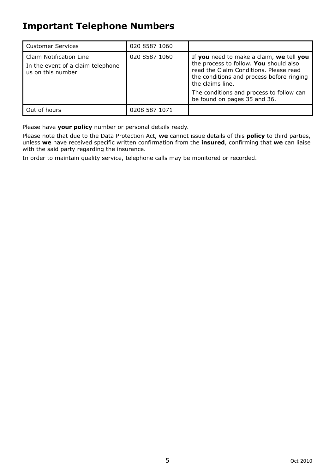# **Important Telephone Numbers**

| <b>Customer Services</b>                                                          | 020 8587 1060 |                                                                                                                                                                                               |
|-----------------------------------------------------------------------------------|---------------|-----------------------------------------------------------------------------------------------------------------------------------------------------------------------------------------------|
| Claim Notification Line<br>In the event of a claim telephone<br>us on this number | 020 8587 1060 | If you need to make a claim, we tell you<br>the process to follow. You should also<br>read the Claim Conditions. Please read<br>the conditions and process before ringing<br>the claims line. |
|                                                                                   |               | The conditions and process to follow can<br>be found on pages 35 and 36.                                                                                                                      |
| Out of hours                                                                      | 0208 587 1071 |                                                                                                                                                                                               |

Please have **your policy** number or personal details ready.

Please note that due to the Data Protection Act, **we** cannot issue details of this **policy** to third parties, unless **we** have received specific written confirmation from the **insured**, confirming that **we** can liaise with the said party regarding the insurance.

In order to maintain quality service, telephone calls may be monitored or recorded.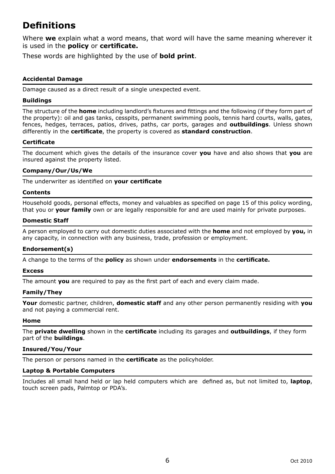# **Definitions**

Where **we** explain what a word means, that word will have the same meaning wherever it is used in the **policy** or **certificate.**

These words are highlighted by the use of **bold print**.

#### **Accidental Damage**

Damage caused as a direct result of a single unexpected event.

#### **Buildings**

The structure of the **home** including landlord's fixtures and fittings and the following (if they form part of the property): oil and gas tanks, cesspits, permanent swimming pools, tennis hard courts, walls, gates, fences, hedges, terraces, patios, drives, paths, car ports, garages and **outbuildings**. Unless shown differently in the **certificate**, the property is covered as **standard construction**.

#### **Certificate**

The document which gives the details of the insurance cover **you** have and also shows that **you** are insured against the property listed.

#### **Company/Our/Us/We**

The underwriter as identified on **your certificate**

#### **Contents**

Household goods, personal effects, money and valuables as specified on page 15 of this policy wording, that you or **your family** own or are legally responsible for and are used mainly for private purposes.

#### **Domestic Staff**

A person employed to carry out domestic duties associated with the **home** and not employed by **you,** in any capacity, in connection with any business, trade, profession or employment.

#### **Endorsement(s)**

A change to the terms of the **policy** as shown under **endorsements** in the **certificate.**

#### **Excess**

The amount **you** are required to pay as the first part of each and every claim made.

#### **Family/They**

**Your** domestic partner, children, **domestic staff** and any other person permanently residing with **you** and not paying a commercial rent.

#### **Home**

The **private dwelling** shown in the **certificate** including its garages and **outbuildings**, if they form part of the **buildings**.

#### **Insured/You/Your**

The person or persons named in the **certificate** as the policyholder.

#### **Laptop & Portable Computers**

Includes all small hand held or lap held computers which are defined as, but not limited to, **laptop**, touch screen pads, Palmtop or PDA's.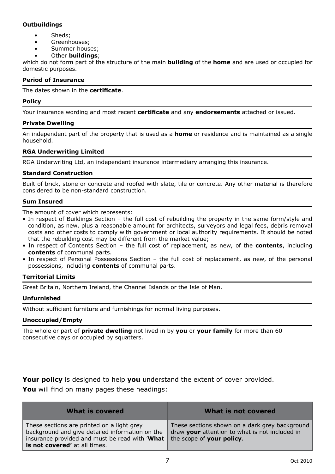#### **Outbuildings**

- Sheds;
- Greenhouses:
- Summer houses;
- Other **buildings**;

which do not form part of the structure of the main **building** of the **home** and are used or occupied for domestic purposes.

#### **Period of Insurance**

The dates shown in the **certificate**.

#### **Policy**

Your insurance wording and most recent **certificate** and any **endorsements** attached or issued.

#### **Private Dwelling**

An independent part of the property that is used as a **home** or residence and is maintained as a single household.

#### **RGA Underwriting Limited**

RGA Underwriting Ltd, an independent insurance intermediary arranging this insurance.

#### **Standard Construction**

Built of brick, stone or concrete and roofed with slate, tile or concrete. Any other material is therefore considered to be non-standard construction.

#### **Sum Insured**

The amount of cover which represents:

- In respect of Buildings Section the full cost of rebuilding the property in the same form/style and condition, as new, plus a reasonable amount for architects, surveyors and legal fees, debris removal costs and other costs to comply with government or local authority requirements. It should be noted that the rebuilding cost may be different from the market value;
- In respect of Contents Section the full cost of replacement, as new, of the **contents**, including **contents** of communal parts.
- In respect of Personal Possessions Section the full cost of replacement, as new, of the personal possessions, including **contents** of communal parts.

#### **Territorial Limits**

Great Britain, Northern Ireland, the Channel Islands or the Isle of Man.

#### **Unfurnished**

Without sufficient furniture and furnishings for normal living purposes.

#### **Unoccupied/Empty**

The whole or part of **private dwelling** not lived in by **you** or **your family** for more than 60 consecutive days or occupied by squatters.

**Your policy** is designed to help **you** understand the extent of cover provided. **You** will find on many pages these headings:

| What is covered                                                                                                                                                                  | What is not covered                                                                                                           |
|----------------------------------------------------------------------------------------------------------------------------------------------------------------------------------|-------------------------------------------------------------------------------------------------------------------------------|
| These sections are printed on a light grey<br>background and give detailed information on the<br>insurance provided and must be read with 'What<br>is not covered' at all times. | These sections shown on a dark grey background<br>draw your attention to what is not included in<br>the scope of your policy. |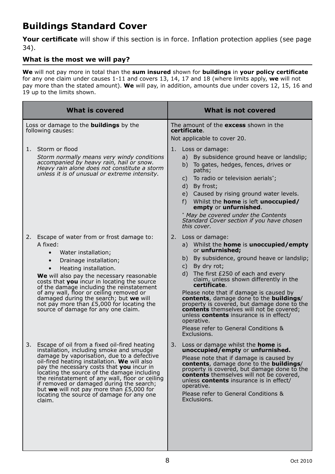# **Buildings Standard Cover**

**Your certificate** will show if this section is in force. Inflation protection applies (see page 34).

# **What is the most we will pay?**

**We** will not pay more in total than the **sum insured** shown for **buildings** in **your policy certificate** for any one claim under causes 1-11 and covers 13, 14, 17 and 18 (where limits apply, **we** will not pay more than the stated amount). **We** will pay, in addition, amounts due under covers 12, 15, 16 and 19 up to the limits shown.

| What is covered                                                                                                                                                                                                                                                                                                                                                                                                                                                                                       | What is not covered                                                                                                                                                                                                                                                                                                                                                                                                                                                                                                                                                                                             |  |
|-------------------------------------------------------------------------------------------------------------------------------------------------------------------------------------------------------------------------------------------------------------------------------------------------------------------------------------------------------------------------------------------------------------------------------------------------------------------------------------------------------|-----------------------------------------------------------------------------------------------------------------------------------------------------------------------------------------------------------------------------------------------------------------------------------------------------------------------------------------------------------------------------------------------------------------------------------------------------------------------------------------------------------------------------------------------------------------------------------------------------------------|--|
| Loss or damage to the <b>buildings</b> by the<br>following causes:                                                                                                                                                                                                                                                                                                                                                                                                                                    | The amount of the <b>excess</b> shown in the<br>certificate.<br>Not applicable to cover 20.                                                                                                                                                                                                                                                                                                                                                                                                                                                                                                                     |  |
| 1. Storm or flood<br>Storm normally means very windy conditions<br>accompanied by heavy rain, hail or snow.<br>Heavy rain alone does not constitute a storm<br>unless it is of unusual or extreme intensity.                                                                                                                                                                                                                                                                                          | Loss or damage:<br>1.<br>a) By subsidence ground heave or landslip;<br>b) To gates, hedges, fences, drives or<br>paths;<br>To radio or television aerials*;<br>C)<br>By frost;<br>d)<br>e) Caused by rising ground water levels.<br>f) Whilst the <b>home</b> is left <b>unoccupied/</b><br>empty or unfurnished.<br>* May be covered under the Contents<br>Standard Cover section if you have chosen<br>this cover.                                                                                                                                                                                            |  |
| Escape of water from or frost damage to:<br>2.<br>A fixed:<br>$\bullet$<br>Water installation;<br>Drainage installation;<br>$\bullet$<br>Heating installation.<br>$\bullet$<br>We will also pay the necessary reasonable<br>costs that <b>you</b> incur in locating the source<br>of the damage including the reinstatement<br>of any wall, floor or ceiling removed or<br>damaged during the search; but we will<br>not pay more than £5,000 for locating the<br>source of damage for any one claim. | 2. Loss or damage:<br>a) Whilst the <b>home</b> is <b>unoccupied/empty</b><br>or <b>unfurnished;</b><br>By subsidence, ground heave or landslip;<br>b)<br>By dry rot;<br>C)<br>The first £250 of each and every<br>d).<br>claim, unless shown differently in the<br>certificate.<br>Please note that if damage is caused by<br><b>contents</b> , damage done to the <b>buildings</b> /<br>property is covered, but damage done to the<br><b>contents</b> themselves will not be covered;<br>unless <b>contents</b> insurance is in effect/<br>operative.<br>Please refer to General Conditions &<br>Exclusions. |  |
| 3.<br>Escape of oil from a fixed oil-fired heating<br>installation, including smoke and smudge<br>damage by vaporisation, due to a defective<br>oil-fired heating installation. We will also<br>pay the necessary costs that you incur in<br>locating the source of the damage including<br>the reinstatement of any wall, floor or ceiling<br>if removed or damaged during the search;<br>but we will not pay more than £5,000 for<br>locating the source of damage for any one<br>claim.            | 3. Loss or damage whilst the <b>home</b> is<br>unoccupied/empty or unfurnished.<br>Please note that if damage is caused by<br>contents, damage done to the buildings/<br>property is covered, but damage done to the<br><b>contents</b> themselves will not be covered,<br>unless contents insurance is in effect/<br>operative.<br>Please refer to General Conditions &<br>Exclusions.                                                                                                                                                                                                                         |  |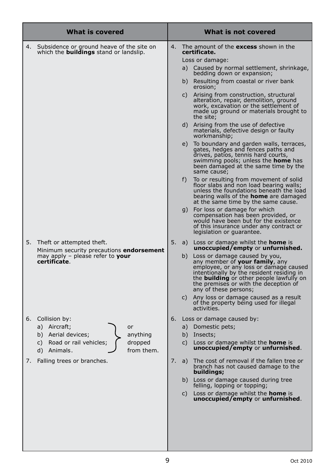|    | What is covered                                                                                                                                  | What is not covered |                                        |                                                                                                                                                                                                                                                                                                                                                                                                                                                                                                                                                                                                                                                                                                                                                                                                                                                                                                                                                                                                                                                                  |
|----|--------------------------------------------------------------------------------------------------------------------------------------------------|---------------------|----------------------------------------|------------------------------------------------------------------------------------------------------------------------------------------------------------------------------------------------------------------------------------------------------------------------------------------------------------------------------------------------------------------------------------------------------------------------------------------------------------------------------------------------------------------------------------------------------------------------------------------------------------------------------------------------------------------------------------------------------------------------------------------------------------------------------------------------------------------------------------------------------------------------------------------------------------------------------------------------------------------------------------------------------------------------------------------------------------------|
| 4. | Subsidence or ground heave of the site on<br>which the <b>buildings</b> stand or landslip.                                                       | 4.                  | a)<br>b)<br>C)<br>d)<br>e)<br>f)<br>g) | The amount of the <b>excess</b> shown in the<br>certificate.<br>Loss or damage:<br>Caused by normal settlement, shrinkage,<br>bedding down or expansion;<br>Resulting from coastal or river bank<br>erosion;<br>Arising from construction, structural<br>alteration, repair, demolition, ground<br>work, excavation or the settlement of<br>made up ground or materials brought to<br>the site;<br>Arising from the use of defective<br>materials, defective design or faulty<br>workmanship;<br>To boundary and garden walls, terraces,<br>gates, hedges and fences paths and<br>drives, patios, tennis hard courts,<br>swimming pools; unless the <b>home</b> has<br>been damaged at the same time by the<br>same cause;<br>To or resulting from movement of solid<br>floor slabs and non load bearing walls;<br>unless the foundations beneath the load<br>bearing walls of the <b>home</b> are damaged<br>at the same time by the same cause.<br>For loss or damage for which<br>compensation has been provided, or<br>would have been but for the existence |
| 5. | Theft or attempted theft.<br>Minimum security precautions <b>endorsement</b><br>may apply $-$ please refer to <b>your</b><br>certificate.        | 5.                  | a)<br>C)                               | of this insurance under any contract or<br>legislation or guarantee.<br>Loss or damage whilst the <b>home</b> is<br><b>unoccupied/empty or unfurnished.</b><br>b) Loss or damage caused by you,<br>any member of <b>your family</b> , any<br>employee, or any loss or damage caused<br>intentionally by the resident residing in<br>the <b>building</b> or other people lawfully on<br>the premises or with the deception of<br>any of these persons;<br>Any loss or damage caused as a result<br>of the property being used for illegal<br>activities.                                                                                                                                                                                                                                                                                                                                                                                                                                                                                                          |
| 6. | Collision by:<br>a) Aircraft;<br>or<br>b) Aerial devices;<br>anything<br>dropped<br>C)<br>Road or rail vehicles;<br>from them.<br>d)<br>Animals. | 6.                  | b)<br>C)                               | Loss or damage caused by:<br>a) Domestic pets;<br>Insects;<br>Loss or damage whilst the <b>home</b> is<br>unoccupied/empty or unfurnished.                                                                                                                                                                                                                                                                                                                                                                                                                                                                                                                                                                                                                                                                                                                                                                                                                                                                                                                       |
| 7. | Falling trees or branches.                                                                                                                       | 7.                  | a)<br>b)<br>C)                         | The cost of removal if the fallen tree or<br>branch has not caused damage to the<br>buildings;<br>Loss or damage caused during tree<br>felling, lopping or topping;<br>Loss or damage whilst the <b>home</b> is<br>unoccupied/empty or unfurnished.                                                                                                                                                                                                                                                                                                                                                                                                                                                                                                                                                                                                                                                                                                                                                                                                              |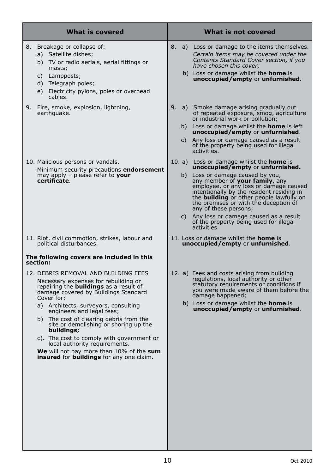| <b>What is covered</b>                                                                                                                                                                                                                                                                                                                                                                                                                                                                                                                                                                    | What is not covered                                                                                                                                                                                                                                                                                                                                                                                                                                                           |
|-------------------------------------------------------------------------------------------------------------------------------------------------------------------------------------------------------------------------------------------------------------------------------------------------------------------------------------------------------------------------------------------------------------------------------------------------------------------------------------------------------------------------------------------------------------------------------------------|-------------------------------------------------------------------------------------------------------------------------------------------------------------------------------------------------------------------------------------------------------------------------------------------------------------------------------------------------------------------------------------------------------------------------------------------------------------------------------|
| 8.<br>Breakage or collapse of:<br>a) Satellite dishes;<br>b) TV or radio aerials, aerial fittings or<br>masts;<br>c) Lampposts;<br>d) Telegraph poles;<br>e) Electricity pylons, poles or overhead<br>cables.                                                                                                                                                                                                                                                                                                                                                                             | 8.<br>a) Loss or damage to the items themselves.<br>Certain items may be covered under the<br>Contents Standard Cover section, if you<br>have chosen this cover:<br>b) Loss or damage whilst the <b>home</b> is<br>unoccupied/empty or unfurnished.                                                                                                                                                                                                                           |
| 9. Fire, smoke, explosion, lightning,<br>earthquake.                                                                                                                                                                                                                                                                                                                                                                                                                                                                                                                                      | 9. a) Smoke damage arising gradually out<br>of repeated exposure, smog, agriculture<br>or industrial work or pollution;<br>b) Loss or damage whilst the <b>home</b> is left<br>unoccupied/empty or unfurnished.<br>Any loss or damage caused as a result<br>C)<br>of the property being used for illegal<br>activities.                                                                                                                                                       |
| 10. Malicious persons or vandals.<br>Minimum security precautions endorsement<br>may apply - please refer to your<br>certificate.                                                                                                                                                                                                                                                                                                                                                                                                                                                         | 10. a) Loss or damage whilst the <b>home</b> is<br>unoccupied/empty or unfurnished.<br>b) Loss or damage caused by you,<br>any member of your family, any<br>employee, or any loss or damage caused<br>intentionally by the resident residing in<br>the <b>building</b> or other people lawfully on<br>the premises or with the deception of<br>any of these persons;<br>Any loss or damage caused as a result<br>C)<br>of the property being used for illegal<br>activities. |
| 11. Riot, civil commotion, strikes, labour and<br>political disturbances.                                                                                                                                                                                                                                                                                                                                                                                                                                                                                                                 | 11. Loss or damage whilst the <b>home</b> is<br>unoccupied/empty or unfurnished.                                                                                                                                                                                                                                                                                                                                                                                              |
| The following covers are included in this<br>section:<br>12. DEBRIS REMOVAL AND BUILDING FEES<br>Necessary expenses for rebuilding or<br>repairing the <b>buildings</b> as a result of<br>damage covered by Buildings Standard<br>Cover for:<br>a) Architects, surveyors, consulting<br>engineers and legal fees;<br>b) The cost of clearing debris from the<br>site or demolishing or shoring up the<br>buildings;<br>c). The cost to comply with government or<br>local authority requirements.<br>We will not pay more than 10% of the sum<br>insured for buildings for any one claim. | 12. a) Fees and costs arising from building<br>regulations, local authority or other<br>statutory requirements or conditions if<br>you were made aware of them before the<br>damage happened;<br>b) Loss or damage whilst the <b>home</b> is<br>unoccupied/empty or unfurnished.                                                                                                                                                                                              |
|                                                                                                                                                                                                                                                                                                                                                                                                                                                                                                                                                                                           |                                                                                                                                                                                                                                                                                                                                                                                                                                                                               |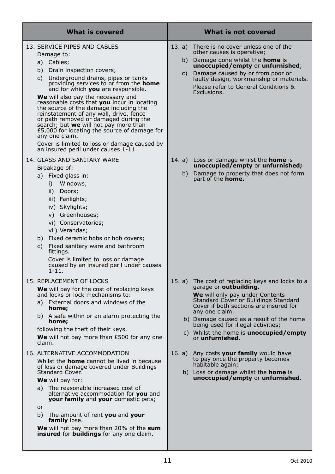| What is covered                                                                                                                                                                                                                                                                                                                                                                                                                                                                                                                                                                                                                              | What is not covered                                                                                                                                                                                                                                                                                                                                                                      |
|----------------------------------------------------------------------------------------------------------------------------------------------------------------------------------------------------------------------------------------------------------------------------------------------------------------------------------------------------------------------------------------------------------------------------------------------------------------------------------------------------------------------------------------------------------------------------------------------------------------------------------------------|------------------------------------------------------------------------------------------------------------------------------------------------------------------------------------------------------------------------------------------------------------------------------------------------------------------------------------------------------------------------------------------|
| 13. SERVICE PIPES AND CABLES<br>Damage to:<br>a) Cables;<br>b) Drain inspection covers;<br>c) Underground drains, pipes or tanks<br>providing services to or from the home<br>and for which <b>you</b> are responsible.<br>We will also pay the necessary and<br>reasonable costs that you incur in locating<br>the source of the damage including the<br>reinstatement of any wall, drive, fence<br>or path removed or damaged during the<br>search; but we will not pay more than<br>£5,000 for locating the source of damage for<br>any one claim.<br>Cover is limited to loss or damage caused by<br>an insured peril under causes 1-11. | 13. a)<br>There is no cover unless one of the<br>other causes is operative;<br>Damage done whilst the home is<br>b)<br>unoccupied/empty or unfurnished;<br>Damage caused by or from poor or<br>C)<br>faulty design, workmanship or materials.<br>Please refer to General Conditions &<br>Exclusions.                                                                                     |
| 14. GLASS AND SANITARY WARE<br>Breakage of:<br>a) Fixed glass in:<br>i) Windows;<br>ii) Doors;<br>iii) Fanlights;<br>iv) Skylights;<br>v) Greenhouses;<br>vi) Conservatories;<br>vii) Verandas;<br>b) Fixed ceramic hobs or hob covers;<br>c) Fixed sanitary ware and bathroom<br>fittings.<br>Cover is limited to loss or damage<br>caused by an insured peril under causes<br>$1 - 11.$                                                                                                                                                                                                                                                    | 14. a) Loss or damage whilst the <b>home</b> is<br>unoccupied/empty or unfurnished;<br>b) Damage to property that does not form<br>part of the <b>home.</b>                                                                                                                                                                                                                              |
| 15. REPLACEMENT OF LOCKS<br>We will pay for the cost of replacing keys<br>and locks or lock mechanisms to:<br>a) External doors and windows of the<br>home;<br>b) A safe within or an alarm protecting the<br>home;<br>following the theft of their keys.<br><b>We</b> will not pay more than $E$ 500 for any one<br>claim.                                                                                                                                                                                                                                                                                                                  | 15. a)<br>The cost of replacing keys and locks to a<br>garage or <b>outbuilding.</b><br><b>We</b> will only pay under Contents<br>Standard Cover or Buildings Standard<br>Cover if both sections are insured for<br>any one claim.<br>b) Damage caused as a result of the home<br>being used for illegal activities;<br>c) Whilst the home is <b>unoccupied/empty</b><br>or unfurnished. |
| 16. ALTERNATIVE ACCOMMODATION<br>Whilst the <b>home</b> cannot be lived in because<br>of loss or damage covered under Buildings<br><b>Standard Cover.</b><br><b>We</b> will pay for:<br>a) The reasonable increased cost of<br>alternative accommodation for you and<br><b>your family</b> and your domestic pets;<br>or<br>b) The amount of rent you and your<br>family lose.<br>We will not pay more than 20% of the sum<br><b>insured</b> for <b>buildings</b> for any one claim.                                                                                                                                                         | 16. a)<br>Any costs your family would have<br>to pay once the property becomes<br>habitable again;<br>b) Loss or damage whilst the <b>home</b> is<br>unoccupied/empty or unfurnished.                                                                                                                                                                                                    |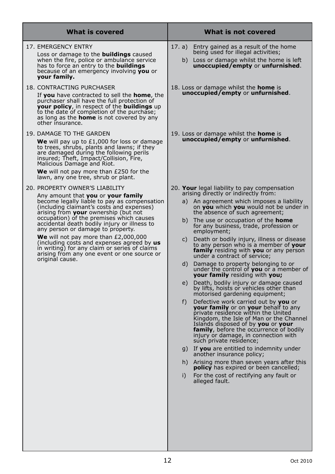| 17. EMERGENCY ENTRY<br>17. a)<br>Entry gained as a result of the home<br>being used for illegal activities;<br>Loss or damage to the <b>buildings</b> caused<br>when the fire, police or ambulance service<br>has to force an entry to the <b>buildings</b><br>because of an emergency involving you or<br>your family.<br>18. CONTRACTING PURCHASER<br>18. Loss or damage whilst the <b>home</b> is<br><b>unoccupied/empty or unfurnished.</b><br>If you have contracted to sell the home, the<br>purchaser shall have the full protection of<br><b>your policy</b> , in respect of the <b>buildings</b> up<br>to the date of completion of the purchase;<br>as long as the <b>home</b> is not covered by any<br>other insurance.<br>19. DAMAGE TO THE GARDEN<br>19. Loss or damage whilst the <b>home</b> is<br><b>unoccupied/empty or unfurnished.</b><br><b>We</b> will pay up to £1,000 for loss or damage<br>to trees, shrubs, plants and lawns; if they<br>are damaged during the following perils<br>insured; Theft, Impact/Collision, Fire,<br>Malicious Damage and Riot.<br><b>We</b> will not pay more than $E250$ for the<br>lawn, any one tree, shrub or plant.<br>20. PROPERTY OWNER'S LIABILITY<br>20. Your legal liability to pay compensation<br>arising directly or indirectly from:<br>Any amount that you or your family<br>become legally liable to pay as compensation<br>(including claimant's costs and expenses)<br>arising from your ownership (but not<br>the absence of such agreement;<br>occupation) of the premises which causes<br>b)<br>The use or occupation of the <b>home</b><br>accidental death bodily injury or illness to<br>for any business, trade, profession or<br>any person or damage to property.<br>employment;<br><b>We</b> will not pay more than $E2,000,000$<br>C)<br>(including costs and expenses agreed by <b>us</b><br>in writing) for any claim or series of claims<br>arising from any one event or one source or<br>under a contract of service;<br>original cause.<br>d)<br>Damage to property belonging to or | What is covered | What is not covered                                                                                                                                                                                                                                                                                                                                                                                                                                                                                         |
|----------------------------------------------------------------------------------------------------------------------------------------------------------------------------------------------------------------------------------------------------------------------------------------------------------------------------------------------------------------------------------------------------------------------------------------------------------------------------------------------------------------------------------------------------------------------------------------------------------------------------------------------------------------------------------------------------------------------------------------------------------------------------------------------------------------------------------------------------------------------------------------------------------------------------------------------------------------------------------------------------------------------------------------------------------------------------------------------------------------------------------------------------------------------------------------------------------------------------------------------------------------------------------------------------------------------------------------------------------------------------------------------------------------------------------------------------------------------------------------------------------------------------------------------------------------------------------------------------------------------------------------------------------------------------------------------------------------------------------------------------------------------------------------------------------------------------------------------------------------------------------------------------------------------------------------------------------------------------------------------------------------------------------------------------------------------------|-----------------|-------------------------------------------------------------------------------------------------------------------------------------------------------------------------------------------------------------------------------------------------------------------------------------------------------------------------------------------------------------------------------------------------------------------------------------------------------------------------------------------------------------|
|                                                                                                                                                                                                                                                                                                                                                                                                                                                                                                                                                                                                                                                                                                                                                                                                                                                                                                                                                                                                                                                                                                                                                                                                                                                                                                                                                                                                                                                                                                                                                                                                                                                                                                                                                                                                                                                                                                                                                                                                                                                                            |                 | b) Loss or damage whilst the home is left<br>unoccupied/empty or unfurnished.                                                                                                                                                                                                                                                                                                                                                                                                                               |
|                                                                                                                                                                                                                                                                                                                                                                                                                                                                                                                                                                                                                                                                                                                                                                                                                                                                                                                                                                                                                                                                                                                                                                                                                                                                                                                                                                                                                                                                                                                                                                                                                                                                                                                                                                                                                                                                                                                                                                                                                                                                            |                 |                                                                                                                                                                                                                                                                                                                                                                                                                                                                                                             |
|                                                                                                                                                                                                                                                                                                                                                                                                                                                                                                                                                                                                                                                                                                                                                                                                                                                                                                                                                                                                                                                                                                                                                                                                                                                                                                                                                                                                                                                                                                                                                                                                                                                                                                                                                                                                                                                                                                                                                                                                                                                                            |                 |                                                                                                                                                                                                                                                                                                                                                                                                                                                                                                             |
| <b>your family</b> residing with you;<br>by lifts, hoists or vehicles other than<br>motorised gardening equipment;<br>f)<br>Defective work carried out by you or<br><b>your family</b> or on your behalf to any<br>private residence within the United<br>Islands disposed of by you or your<br>injury or damage, in connection with<br>such private residence;<br>another insurance policy;<br><b>policy</b> has expired or been cancelled;<br>i)<br>For the cost of rectifying any fault or<br>alleged fault.                                                                                                                                                                                                                                                                                                                                                                                                                                                                                                                                                                                                                                                                                                                                                                                                                                                                                                                                                                                                                                                                                                                                                                                                                                                                                                                                                                                                                                                                                                                                                            |                 | a) An agreement which imposes a liability<br>on you which you would not be under in<br>Death or bodily injury, illness or disease<br>to any person who is a member of your<br><b>family</b> residing with <b>you</b> or any person<br>under the control of you or a member of<br>e) Death, bodily injury or damage caused<br>Kingdom, the Isle of Man or the Channel<br>family, before the occurrence of bodily<br>g) If you are entitled to indemnity under<br>h) Arising more than seven years after this |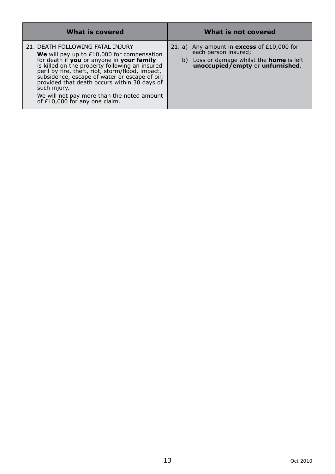| <b>What is covered</b>                                                                                                                                                                                                                                                                                                                                                                                                                     | What is not covered                                                                                                                                                 |
|--------------------------------------------------------------------------------------------------------------------------------------------------------------------------------------------------------------------------------------------------------------------------------------------------------------------------------------------------------------------------------------------------------------------------------------------|---------------------------------------------------------------------------------------------------------------------------------------------------------------------|
| 21. DEATH FOLLOWING FATAL INJURY<br><b>We</b> will pay up to $£10,000$ for compensation<br>for death if you or anyone in your family<br>is killed on the property following an insured<br>peril by fire, theft, riot, storm/flood, impact,<br>subsidence, escape of water or escape of oil;<br>provided that death occurs within 30 days of<br>such injury.<br>We will not pay more than the noted amount<br>of £10,000 for any one claim. | 21. a) Any amount in <b>excess</b> of $£10,000$ for<br>each person insured;<br>b) Loss or damage whilst the <b>home</b> is left<br>unoccupied/empty or unfurnished. |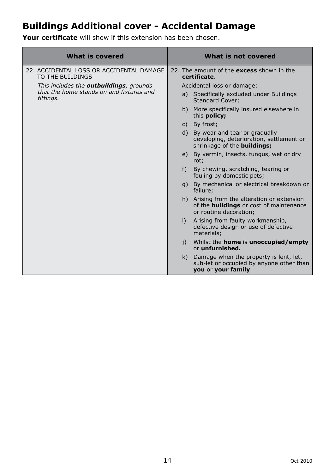# **Buildings Additional cover - Accidental Damage**

**Your certificate** will show if this extension has been chosen.

| <b>What is covered</b>                                       | What is not covered                                                                                                     |  |
|--------------------------------------------------------------|-------------------------------------------------------------------------------------------------------------------------|--|
| 22. ACCIDENTAL LOSS OR ACCIDENTAL DAMAGE<br>TO THE BUILDINGS | 22. The amount of the excess shown in the<br>certificate.                                                               |  |
| This includes the <b>outbuildings</b> , grounds              | Accidental loss or damage:                                                                                              |  |
| that the home stands on and fixtures and<br>fittings.        | a) Specifically excluded under Buildings<br><b>Standard Cover:</b>                                                      |  |
|                                                              | b) More specifically insured elsewhere in<br>this policy;                                                               |  |
|                                                              | c) By frost;                                                                                                            |  |
|                                                              | d) By wear and tear or gradually<br>developing, deterioration, settlement or<br>shrinkage of the <b>buildings;</b>      |  |
|                                                              | e) By vermin, insects, fungus, wet or dry<br>rot;                                                                       |  |
|                                                              | By chewing, scratching, tearing or<br>$f$ )<br>fouling by domestic pets;                                                |  |
|                                                              | g) By mechanical or electrical breakdown or<br>failure;                                                                 |  |
|                                                              | h) Arising from the alteration or extension<br>of the <b>buildings</b> or cost of maintenance<br>or routine decoration: |  |
|                                                              | Arising from faulty workmanship,<br>i)<br>defective design or use of defective<br>materials;                            |  |
|                                                              | Whilst the <b>home</b> is <b>unoccupied/empty</b><br>i)<br>or unfurnished.                                              |  |
|                                                              | k) Damage when the property is lent, let,<br>sub-let or occupied by anyone other than<br>you or your family.            |  |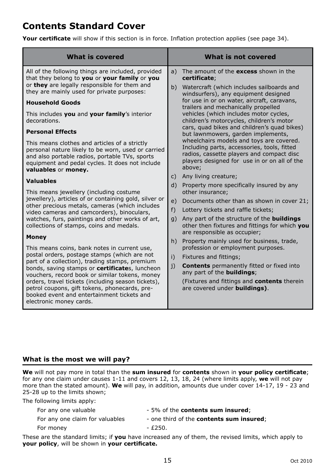# **Contents Standard Cover**

**Your certificate** will show if this section is in force. Inflation protection applies (see page 34).

# **What is the most we will pay?**

**We** will not pay more in total than the **sum insured** for **contents** shown in **your policy certificate**; for any one claim under causes 1-11 and covers 12, 13, 18, 24 (where limits apply, **we** will not pay more than the stated amount). **We** will pay, in addition, amounts due under cover 14-17, 19 - 23 and 25-28 up to the limits shown;

The following limits apply:

| For any one valuable            | - 5% of the <b>contents sum insured</b> ;        |
|---------------------------------|--------------------------------------------------|
| For any one claim for valuables | - one third of the <b>contents sum insured</b> ; |
| For money                       | - £250.                                          |
|                                 |                                                  |

These are the standard limits; if **you** have increased any of them, the revised limits, which apply to **your policy**, will be shown in **your certificate.**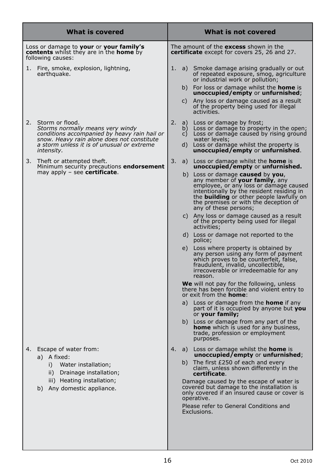| <b>What is covered</b>                                                                                                |                                                                                                                                                                                                               |                                                                                              | What is not covered  |                                                                                                                                                                                                                                                                                                        |  |  |
|-----------------------------------------------------------------------------------------------------------------------|---------------------------------------------------------------------------------------------------------------------------------------------------------------------------------------------------------------|----------------------------------------------------------------------------------------------|----------------------|--------------------------------------------------------------------------------------------------------------------------------------------------------------------------------------------------------------------------------------------------------------------------------------------------------|--|--|
| Loss or damage to your or your family's<br><b>contents</b> whilst they are in the <b>home</b> by<br>following causes: |                                                                                                                                                                                                               | The amount of the excess shown in the<br><b>certificate</b> except for covers 25, 26 and 27. |                      |                                                                                                                                                                                                                                                                                                        |  |  |
| 1.                                                                                                                    | Fire, smoke, explosion, lightning,<br>earthquake.                                                                                                                                                             | 1.                                                                                           | b)                   | a) Smoke damage arising gradually or out<br>of repeated exposure, smog, agriculture<br>or industrial work or pollution;<br>For loss or damage whilst the <b>home</b> is                                                                                                                                |  |  |
|                                                                                                                       |                                                                                                                                                                                                               |                                                                                              | C)                   | unoccupied/empty or unfurnished;<br>Any loss or damage caused as a result<br>of the property being used for illegal<br>activities.                                                                                                                                                                     |  |  |
| 2.                                                                                                                    | Storm or flood.<br>Storms normally means very windy<br>conditions accompanied by heavy rain hail or<br>snow. Heavy rain alone does not constitute<br>a storm unless it is of unusual or extreme<br>intensity. | 2.                                                                                           | a)<br>b)<br>c)<br>d) | Loss or damage by frost;<br>Loss or damage to property in the open;<br>Loss or damage caused by rising ground<br>water levels;<br>Loss or damage whilst the property is<br>unoccupied/empty or unfurnished.                                                                                            |  |  |
| 3.                                                                                                                    | Theft or attempted theft.<br>Minimum security precautions endorsement<br>may apply - see certificate.                                                                                                         | 3.                                                                                           |                      | a) Loss or damage whilst the <b>home</b> is<br>unoccupied/empty or unfurnished.<br>b) Loss or damage <b>caused</b> by you,<br>any member of your family, any<br>employee, or any loss or damage caused<br>intentionally by the resident residing in<br>the <b>building</b> or other people lawfully on |  |  |
|                                                                                                                       |                                                                                                                                                                                                               |                                                                                              | C)                   | the premises or with the deception of<br>any of these persons;<br>Any loss or damage caused as a result<br>of the property being used for illegal                                                                                                                                                      |  |  |
|                                                                                                                       |                                                                                                                                                                                                               |                                                                                              |                      | activities;<br>d) Loss or damage not reported to the<br>police;                                                                                                                                                                                                                                        |  |  |
|                                                                                                                       |                                                                                                                                                                                                               |                                                                                              |                      | e) Loss where property is obtained by<br>any person using any form of payment<br>which proves to be counterfeit, false,<br>fraudulent, invalid, uncollectible,<br>irrecoverable or irredeemable for any<br>reason.                                                                                     |  |  |
|                                                                                                                       |                                                                                                                                                                                                               |                                                                                              |                      | We will not pay for the following, unless<br>there has been forcible and violent entry to<br>or exit from the <b>home</b> :                                                                                                                                                                            |  |  |
|                                                                                                                       |                                                                                                                                                                                                               |                                                                                              | a)                   | Loss or damage from the <b>home</b> if any<br>part of it is occupied by anyone but you<br>or <b>your family;</b>                                                                                                                                                                                       |  |  |
|                                                                                                                       |                                                                                                                                                                                                               |                                                                                              |                      | b) Loss or damage from any part of the<br><b>home</b> which is used for any business,<br>trade, profession or employment<br>purposes.                                                                                                                                                                  |  |  |
| 4.                                                                                                                    | Escape of water from:<br>a) A fixed:                                                                                                                                                                          | 4.                                                                                           |                      | a) Loss or damage whilst the <b>home</b> is<br>$unoccupied / empty$ or unfurnished;                                                                                                                                                                                                                    |  |  |
|                                                                                                                       | Water installation;<br>i)<br>ii)<br>Drainage installation;                                                                                                                                                    |                                                                                              | b)                   | The first £250 of each and every<br>claim, unless shown differently in the<br>certificate.                                                                                                                                                                                                             |  |  |
|                                                                                                                       | iii) Heating installation;<br>b) Any domestic appliance.                                                                                                                                                      |                                                                                              |                      | Damage caused by the escape of water is<br>covered but damage to the installation is<br>only covered if an insured cause or cover is<br>operative.                                                                                                                                                     |  |  |
|                                                                                                                       |                                                                                                                                                                                                               |                                                                                              |                      | Please refer to General Conditions and<br>Exclusions.                                                                                                                                                                                                                                                  |  |  |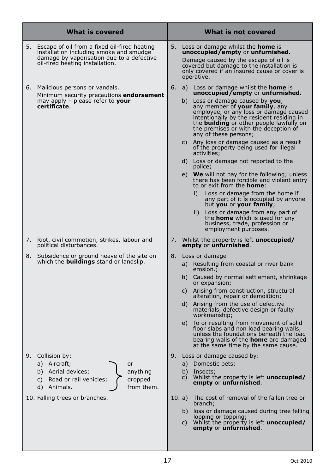| What is covered |                                                                                                                                                                              |    |                            | What is not covered                                                                                                                                                                                                                                                                                                                                                                                                                                                                                                                                                                                                                                                                                                                                                                                                                                                                                                                            |  |  |
|-----------------|------------------------------------------------------------------------------------------------------------------------------------------------------------------------------|----|----------------------------|------------------------------------------------------------------------------------------------------------------------------------------------------------------------------------------------------------------------------------------------------------------------------------------------------------------------------------------------------------------------------------------------------------------------------------------------------------------------------------------------------------------------------------------------------------------------------------------------------------------------------------------------------------------------------------------------------------------------------------------------------------------------------------------------------------------------------------------------------------------------------------------------------------------------------------------------|--|--|
| 5.              | Escape of oil from a fixed oil-fired heating<br>installation including smoke and smudge<br>damage by vaporisation due to a defective<br>oil-fired heating installation.      | 5. |                            | Loss or damage whilst the <b>home</b> is<br>unoccupied/empty or unfurnished.<br>Damage caused by the escape of oil is<br>covered but damage to the installation is<br>only covered if an insured cause or cover is<br>operative.                                                                                                                                                                                                                                                                                                                                                                                                                                                                                                                                                                                                                                                                                                               |  |  |
| 6.              | Malicious persons or vandals.<br>Minimum security precautions endorsement<br>may apply - please refer to your<br>certificate.                                                | 6. | e)                         | a) Loss or damage whilst the <b>home</b> is<br><b>unoccupied/empty or unfurnished.</b><br>b) Loss or damage caused by you,<br>any member of your family, any<br>employee, or any loss or damage caused<br>intentionally by the resident residing in<br>the <b>building</b> or other people lawfully on<br>the premises or with the deception of<br>any of these persons;<br>c) Any loss or damage caused as a result<br>of the property being used for illegal<br>activities;<br>d) Loss or damage not reported to the<br>police;<br><b>We</b> will not pay for the following; unless<br>there has been forcible and violent entry<br>to or exit from the <b>home</b> :<br>i)<br>Loss or damage from the home if<br>any part of it is occupied by anyone<br>but you or your family;<br>Loss or damage from any part of<br>$\overline{ii}$ )<br>the <b>home</b> which is used for any<br>business, trade, profession or<br>employment purposes. |  |  |
| 7.              | Riot, civil commotion, strikes, labour and<br>political disturbances.                                                                                                        | 7. |                            | Whilst the property is left <b>unoccupied/</b><br>empty or unfurnished.                                                                                                                                                                                                                                                                                                                                                                                                                                                                                                                                                                                                                                                                                                                                                                                                                                                                        |  |  |
| 8.              | Subsidence or ground heave of the site on<br>which the <b>buildings</b> stand or landslip.                                                                                   | 8. | a)<br>b)<br>C)<br>d)<br>e) | Loss or damage<br>Resulting from coastal or river bank<br>erosion.;<br>Caused by normal settlement, shrinkage<br>or expansion;<br>Arising from construction, structural<br>alteration, repair or demolition;<br>Arising from the use of defective<br>materials, defective design or faulty<br>workmanship;<br>To or resulting from movement of solid<br>floor slabs and non load bearing walls,<br>unless the foundations beneath the load<br>bearing walls of the <b>home</b> are damaged<br>at the same time by the same cause.                                                                                                                                                                                                                                                                                                                                                                                                              |  |  |
| 9.              | Collision by:<br>a) Aircraft;<br>or<br>b) Aerial devices;<br>anything<br>c) Road or rail vehicles;<br>dropped<br>d) Animals.<br>from them.<br>10. Falling trees or branches. | 9. | b)<br>C)<br>10. a)         | Loss or damage caused by:<br>a) Domestic pets;<br>Insects;<br>Whilst the property is left <b>unoccupied/</b><br>empty or unfurnished.<br>The cost of removal of the fallen tree or<br>branch;<br>b) loss or damage caused during tree felling<br>lopping or topping;<br>c) Whilst the property is left <b>unoccupied/</b><br>empty or unfurnished.                                                                                                                                                                                                                                                                                                                                                                                                                                                                                                                                                                                             |  |  |
|                 |                                                                                                                                                                              |    |                            |                                                                                                                                                                                                                                                                                                                                                                                                                                                                                                                                                                                                                                                                                                                                                                                                                                                                                                                                                |  |  |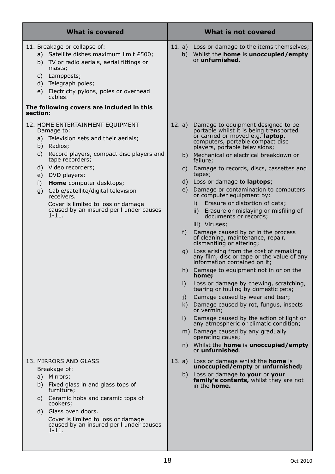| <b>What is covered</b>                                                                                                                                                                                                                                                                                                                                                                                                     | What is not covered                                                                                                                                                                                                                                                                                                                                                                                                                                                                                                                                                                                                                                                                                                                                                                                                                                                                                                                                                                                                                                                                                                                                                                                                                                                                                                          |  |  |
|----------------------------------------------------------------------------------------------------------------------------------------------------------------------------------------------------------------------------------------------------------------------------------------------------------------------------------------------------------------------------------------------------------------------------|------------------------------------------------------------------------------------------------------------------------------------------------------------------------------------------------------------------------------------------------------------------------------------------------------------------------------------------------------------------------------------------------------------------------------------------------------------------------------------------------------------------------------------------------------------------------------------------------------------------------------------------------------------------------------------------------------------------------------------------------------------------------------------------------------------------------------------------------------------------------------------------------------------------------------------------------------------------------------------------------------------------------------------------------------------------------------------------------------------------------------------------------------------------------------------------------------------------------------------------------------------------------------------------------------------------------------|--|--|
| 11. Breakage or collapse of:<br>a) Satellite dishes maximum limit £500;<br>b) TV or radio aerials, aerial fittings or<br>masts;<br>c) Lampposts;<br>d) Telegraph poles;<br>e) Electricity pylons, poles or overhead<br>cables.<br>The following covers are included in this                                                                                                                                                | 11. a)<br>Loss or damage to the items themselves;<br>b) Whilst the <b>home</b> is <b>unoccupied/empty</b><br>or <b>unfurnished</b> .                                                                                                                                                                                                                                                                                                                                                                                                                                                                                                                                                                                                                                                                                                                                                                                                                                                                                                                                                                                                                                                                                                                                                                                         |  |  |
| section:<br>12. HOME ENTERTAINMENT EQUIPMENT<br>Damage to:<br>a) Television sets and their aerials;<br>b) Radios;<br>c) Record players, compact disc players and<br>tape recorders;<br>d) Video recorders;<br>e) DVD players;<br><b>Home</b> computer desktops;<br>f)<br>q) Cable/satellite/digital television<br>receivers.<br>Cover is limited to loss or damage<br>caused by an insured peril under causes<br>$1 - 11.$ | 12. $a)$<br>Damage to equipment designed to be<br>portable whilst it is being transported<br>or carried or moved e.g. laptop,<br>computers, portable compact disc<br>players, portable televisions;<br>Mechanical or electrical breakdown or<br>b)<br>failure;<br>Damage to records, discs, cassettes and<br>C)<br>tapes;<br>d)<br>Loss or damage to <b>laptops</b> ;<br>e)<br>Damage or contamination to computers<br>or computer equipment by:<br>Erasure or distortion of data;<br>$\mathsf{I}$<br>ii)<br>Erasure or mislaying or misfiling of<br>documents or records;<br>iii) Viruses;<br>f)<br>Damage caused by or in the process<br>of cleaning, maintenance, repair,<br>dismantling or altering;<br>g) Loss arising from the cost of remaking<br>any film, disc or tape or the value of any<br>information contained on it;<br>h) Damage to equipment not in or on the<br>home;<br>i)<br>Loss or damage by chewing, scratching,<br>tearing or fouling by domestic pets;<br>Damage caused by wear and tear;<br>j)<br>k)<br>Damage caused by rot, fungus, insects<br>or vermin;<br>I)<br>Damage caused by the action of light or<br>any atmospheric or climatic condition;<br>m) Damage caused by any gradually<br>operating cause;<br>n) Whilst the <b>home</b> is <b>unoccupied/empty</b><br>or <b>unfurnished</b> . |  |  |
| 13. MIRRORS AND GLASS<br>Breakage of:<br>a) Mirrors;<br>b) Fixed glass in and glass tops of<br>furniture;<br>c) Ceramic hobs and ceramic tops of<br>cookers;<br>d) Glass oven doors.<br>Cover is limited to loss or damage<br>caused by an insured peril under causes<br>$1 - 11.$                                                                                                                                         | 13. a) Loss or damage whilst the <b>home</b> is<br>unoccupied/empty or unfurnished;<br>b) Loss or damage to your or your<br><b>family's contents,</b> whilst they are not<br>in the <b>home.</b>                                                                                                                                                                                                                                                                                                                                                                                                                                                                                                                                                                                                                                                                                                                                                                                                                                                                                                                                                                                                                                                                                                                             |  |  |

I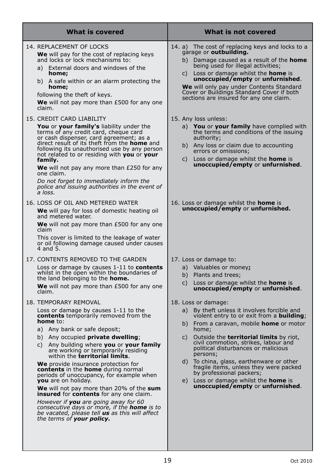| What is not covered                                                                                                                                                                                                                                                                                                                                                                                                                                                                                                                                           |  |  |
|---------------------------------------------------------------------------------------------------------------------------------------------------------------------------------------------------------------------------------------------------------------------------------------------------------------------------------------------------------------------------------------------------------------------------------------------------------------------------------------------------------------------------------------------------------------|--|--|
| 14. a) The cost of replacing keys and locks to a<br>garage or <b>outbuilding.</b><br>b) Damage caused as a result of the <b>home</b><br>being used for illegal activities;<br>c) Loss or damage whilst the <b>home</b> is<br><b>unoccupied/empty or unfurnished.</b><br>We will only pay under Contents Standard<br>Cover or Buildings Standard Cover if both<br>sections are insured for any one claim.                                                                                                                                                      |  |  |
| 15. Any loss unless:<br><b>You</b> or your family have complied with<br>a)<br>the terms and conditions of the issuing<br>authority;<br>b) Any loss or claim due to accounting<br>errors or omissions;<br>Loss or damage whilst the <b>home</b> is<br>C)<br><b>unoccupied/empty or unfurnished.</b>                                                                                                                                                                                                                                                            |  |  |
| 16. Loss or damage whilst the <b>home</b> is<br><b>unoccupied/empty or unfurnished.</b>                                                                                                                                                                                                                                                                                                                                                                                                                                                                       |  |  |
| 17. Loss or damage to:<br>a) Valuables or money;<br>Plants and trees;<br>b)<br>Loss or damage whilst the <b>home</b> is<br>C)<br><b>unoccupied/empty or unfurnished.</b>                                                                                                                                                                                                                                                                                                                                                                                      |  |  |
| 18. Loss or damage:<br>By theft unless it involves forcible and<br>a)<br>violent entry to or exit from a <b>building</b> ;<br>From a caravan, mobile <b>home</b> or motor<br>b)<br>home;<br>Outside the <b>territorial limits</b> by riot,<br>C)<br>civil commotion, strikes, labour and<br>political disturbances or malicious<br>persons;<br>To china, glass, earthenware or other<br>d)<br>fragile items, unless they were packed<br>by professional packers;<br>Loss or damage whilst the <b>home</b> is<br>e)<br><b>unoccupied/empty or unfurnished.</b> |  |  |
|                                                                                                                                                                                                                                                                                                                                                                                                                                                                                                                                                               |  |  |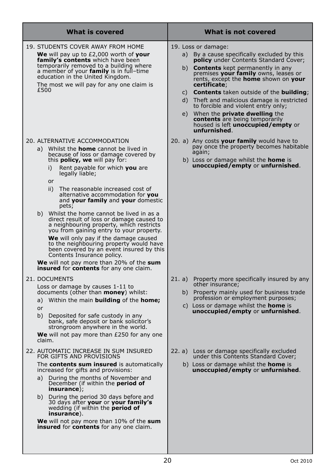| What is covered                                                                                                                                                                                                                                                                                                                                                                                                                                                                                              | What is not covered                                                                                                                                                                                                                                                                                                                                                                                                                                                                                                                                                           |  |  |
|--------------------------------------------------------------------------------------------------------------------------------------------------------------------------------------------------------------------------------------------------------------------------------------------------------------------------------------------------------------------------------------------------------------------------------------------------------------------------------------------------------------|-------------------------------------------------------------------------------------------------------------------------------------------------------------------------------------------------------------------------------------------------------------------------------------------------------------------------------------------------------------------------------------------------------------------------------------------------------------------------------------------------------------------------------------------------------------------------------|--|--|
| 19. STUDENTS COVER AWAY FROM HOME<br><b>We</b> will pay up to $E2,000$ worth of your<br>family's contents which have been<br>temporarily removed to a building where<br>a member of your family is in full-time<br>education in the United Kingdom.<br>The most we will pay for any one claim is<br>£500                                                                                                                                                                                                     | 19. Loss or damage:<br>a) By a cause specifically excluded by this<br><b>policy</b> under Contents Standard Cover;<br>b)<br><b>Contents</b> kept permanently in any<br>premises your family owns, leases or<br>rents, except the <b>home</b> shown on your<br>certificate;<br>c) <b>Contents</b> taken outside of the <b>building</b> ;<br>Theft and malicious damage is restricted<br>d)<br>to forcible and violent entry only;<br>When the <b>private dwelling</b> the<br>e)<br>contents are being temporarily<br>housed is left <b>unoccupied/empty</b> or<br>unfurnished. |  |  |
| 20. ALTERNATIVE ACCOMMODATION<br>a) Whilst the <b>home</b> cannot be lived in<br>because of loss or damage covered by<br>this <b>policy, we</b> will pay for:<br>Rent payable for which you are<br>i)<br>legally liable;<br>or<br>ii)<br>The reasonable increased cost of<br>alternative accommodation for you<br>and your family and your domestic<br>pets:                                                                                                                                                 | 20. a) Any costs your family would have to<br>pay once the property becomes habitable<br>again;<br>b) Loss or damage whilst the <b>home</b> is<br>unoccupied/empty or unfurnished.                                                                                                                                                                                                                                                                                                                                                                                            |  |  |
| b) Whilst the home cannot be lived in as a<br>direct result of loss or damage caused to<br>a neighbouring property, which restricts<br>you from gaining entry to your property.<br><b>We</b> will only pay if the damage caused<br>to the neighbouring property would have<br>been covered by an event insured by this<br>Contents Insurance policy.<br><b>We</b> will not pay more than 20% of the sum<br><b>insured</b> for <b>contents</b> for any one claim.                                             |                                                                                                                                                                                                                                                                                                                                                                                                                                                                                                                                                                               |  |  |
| 21. DOCUMENTS<br>Loss or damage by causes 1-11 to<br>documents (other than money) whilst:<br>a) Within the main <b>building</b> of the <b>home;</b><br>or<br>b)<br>Deposited for safe custody in any<br>bank, safe deposit or bank solicitor's<br>strongroom anywhere in the world.<br><b>We</b> will not pay more than $E250$ for any one<br>claim.                                                                                                                                                         | 21. a)<br>Property more specifically insured by any<br>other insurance;<br>Property mainly used for business trade<br>b)<br>profession or employment purposes;<br>Loss or damage whilst the <b>home</b> is<br>C)<br><b>unoccupied/empty or unfurnished.</b>                                                                                                                                                                                                                                                                                                                   |  |  |
| 22. AUTOMATIC INCREASE IN SUM INSURED<br>FOR GIFTS AND PROVISIONS<br>The contents sum insured is automatically<br>increased for gifts and provisions:<br>a) During the months of November and<br>December (if within the <b>period of</b><br>$in$ surance $);$<br>b) During the period 30 days before and<br>30 days after your or your family's wedding (if within the period of<br>insurance).<br><b>We</b> will not pay more than 10% of the sum<br><b>insured</b> for <b>contents</b> for any one claim. | 22. a) Loss or damage specifically excluded<br>under this Contents Standard Cover;<br>b) Loss or damage whilst the <b>home</b> is<br><b>unoccupied/empty or unfurnished.</b>                                                                                                                                                                                                                                                                                                                                                                                                  |  |  |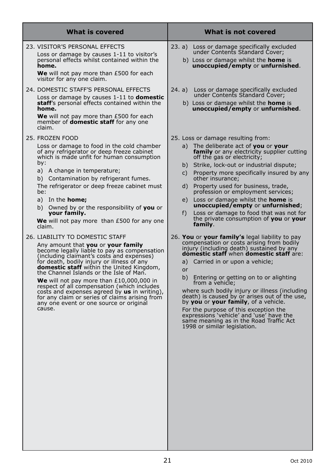| <b>What is covered</b>                                                                                                                                                                                                                                                                                                                                                                                                                                                                                                                                              | <b>What is not covered</b>                                                                                                                                                                                                                                                                                                                                                                                                                                                                                                                                                                                   |
|---------------------------------------------------------------------------------------------------------------------------------------------------------------------------------------------------------------------------------------------------------------------------------------------------------------------------------------------------------------------------------------------------------------------------------------------------------------------------------------------------------------------------------------------------------------------|--------------------------------------------------------------------------------------------------------------------------------------------------------------------------------------------------------------------------------------------------------------------------------------------------------------------------------------------------------------------------------------------------------------------------------------------------------------------------------------------------------------------------------------------------------------------------------------------------------------|
| 23. VISITOR'S PERSONAL EFFECTS<br>Loss or damage by causes 1-11 to visitor's<br>personal effects whilst contained within the<br>home.<br>We will not pay more than £500 for each<br>visitor for any one claim.                                                                                                                                                                                                                                                                                                                                                      | Loss or damage specifically excluded<br>23. a)<br>under Contents Standard Cover;<br>b) Loss or damage whilst the <b>home</b> is<br>unoccupied/empty or unfurnished.                                                                                                                                                                                                                                                                                                                                                                                                                                          |
| 24. DOMESTIC STAFF'S PERSONAL EFFECTS<br>Loss or damage by causes 1-11 to <b>domestic</b><br>staff's personal effects contained within the<br>home.<br>We will not pay more than £500 for each<br>member of <b>domestic staff</b> for any one<br>claim.                                                                                                                                                                                                                                                                                                             | 24. a)<br>Loss or damage specifically excluded<br>under Contents Standard Cover;<br>b) Loss or damage whilst the <b>home</b> is<br>unoccupied/empty or unfurnished.                                                                                                                                                                                                                                                                                                                                                                                                                                          |
| 25. FROZEN FOOD<br>Loss or damage to food in the cold chamber<br>of any refrigerator or deep freeze cabinet<br>which is made unfit for human consumption<br>by:<br>a) A change in temperature;<br>b) Contamination by refrigerant fumes.<br>The refrigerator or deep freeze cabinet must<br>be:<br>a) In the <b>home;</b><br>b) Owned by or the responsibility of you or<br>your family.<br>We will not pay more than £500 for any one<br>claim.                                                                                                                    | 25. Loss or damage resulting from:<br>The deliberate act of you or your<br>a)<br>family or any electricity supplier cutting<br>off the gas or electricity;<br>Strike, lock-out or industrial dispute;<br>b)<br>Property more specifically insured by any<br>C)<br>other insurance:<br>Property used for business, trade,<br>d)<br>profession or employment services;<br>Loss or damage whilst the <b>home</b> is<br>e)<br>unoccupied/empty or unfurnished;<br>Loss or damage to food that was not for<br>f)<br>the private consumption of you or your<br>family.                                             |
| 26. LIABILITY TO DOMESTIC STAFF<br>Any amount that you or your family<br>become legally liable to pay as compensation<br>(including claimant's costs and expenses)<br>for death, bodily injury or illness of any<br><b>domestic staff</b> within the United Kingdom,<br>the Channel Islands or the Isle of Man.<br>We will not pay more than $£10,000,000$ in<br>respect of all compensation (which includes<br>costs and expenses agreed by us in writing),<br>for any claim or series of claims arising from<br>any one event or one source or original<br>cause. | 26. You or your family's legal liability to pay<br>compensation or costs arising from bodily<br>injury (including death) sustained by any<br>domestic staff when domestic staff are:<br>a) Carried in or upon a vehicle;<br>or<br>Entering or getting on to or alighting<br>b)<br>from a vehicle;<br>where such bodily injury or illness (including<br>death) is caused by or arises out of the use,<br>by you or your family, of a vehicle.<br>For the purpose of this exception the<br>expressions 'vehicle' and 'use' have the<br>same meaning as in the Road Traffic Act<br>1998 or similar legislation. |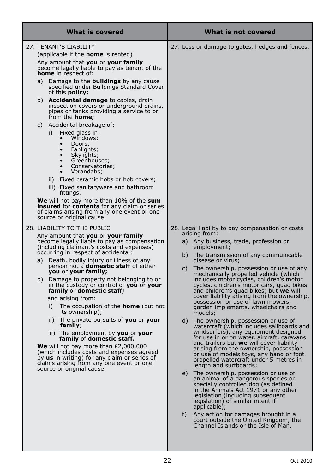| What is covered |                                                                       |     |                                                                                                                                                                                                                     |                                                  | What is not covered                                                                                                                                                                                                                                     |  |  |
|-----------------|-----------------------------------------------------------------------|-----|---------------------------------------------------------------------------------------------------------------------------------------------------------------------------------------------------------------------|--------------------------------------------------|---------------------------------------------------------------------------------------------------------------------------------------------------------------------------------------------------------------------------------------------------------|--|--|
|                 | 27. TENANT'S LIABILITY                                                |     |                                                                                                                                                                                                                     |                                                  | 27. Loss or damage to gates, hedges and fences.                                                                                                                                                                                                         |  |  |
|                 |                                                                       |     | (applicable if the <b>home</b> is rented)                                                                                                                                                                           |                                                  |                                                                                                                                                                                                                                                         |  |  |
|                 |                                                                       |     | Any amount that you or your family<br>become legally liable to pay as tenant of the<br><b>home</b> in respect of:                                                                                                   |                                                  |                                                                                                                                                                                                                                                         |  |  |
|                 | a)                                                                    |     | Damage to the <b>buildings</b> by any cause<br>specified under Buildings Standard Cover<br>of this <b>policy;</b>                                                                                                   |                                                  |                                                                                                                                                                                                                                                         |  |  |
|                 |                                                                       |     | b) <b>Accidental damage</b> to cables, drain<br>inspection covers or underground drains,<br>pipes or tanks providing a service to or<br>from the <b>home;</b>                                                       |                                                  |                                                                                                                                                                                                                                                         |  |  |
|                 | C)                                                                    |     | Accidental breakage of:                                                                                                                                                                                             |                                                  |                                                                                                                                                                                                                                                         |  |  |
|                 |                                                                       | i)  | Fixed glass in:<br>Windows;<br>Doors;<br>$\bullet$<br>Fanlights;<br>$\bullet$<br>$\bullet$<br>Skylights;<br>Greenhouses;<br>Conservatories;<br>Verandahs;                                                           |                                                  |                                                                                                                                                                                                                                                         |  |  |
|                 |                                                                       | ii) | Fixed ceramic hobs or hob covers;                                                                                                                                                                                   |                                                  |                                                                                                                                                                                                                                                         |  |  |
|                 |                                                                       |     | iii) Fixed sanitaryware and bathroom<br>fittings.                                                                                                                                                                   |                                                  |                                                                                                                                                                                                                                                         |  |  |
|                 |                                                                       |     | <b>We</b> will not pay more than 10% of the sum<br><b>insured</b> for <b>contents</b> for any claim or series<br>of claims arising from any one event or one<br>source or original cause.                           |                                                  |                                                                                                                                                                                                                                                         |  |  |
|                 | 28. LIABILITY TO THE PUBLIC                                           |     |                                                                                                                                                                                                                     | 28. Legal liability to pay compensation or costs |                                                                                                                                                                                                                                                         |  |  |
|                 | a)                                                                    |     | Any amount that you or your family<br>become legally liable to pay as compensation<br>(including claimant's costs and expenses)<br>occurring in respect of accidental:<br>Death, bodily injury or illness of any    | a)<br>b)                                         | arising from:<br>Any business, trade, profession or<br>employment;<br>The transmission of any communicable<br>disease or virus;                                                                                                                         |  |  |
|                 |                                                                       |     | person not a <b>domestic staff</b> of either<br><b>you</b> or <b>your family;</b><br>b) Damage to property not belonging to or                                                                                      | C)                                               | The ownership, possession or use of any<br>mechanically propelled vehicle (which<br>includes motor cycles, children's motor                                                                                                                             |  |  |
|                 | in the custody or control of you or your<br>family or domestic staff; |     | cycles, children's motor cars, quad bikes<br>and children's quad bikes) but we will                                                                                                                                 |                                                  |                                                                                                                                                                                                                                                         |  |  |
|                 |                                                                       |     | and arising from:                                                                                                                                                                                                   |                                                  | cover liability arising from the ownership,<br>possession or use of lawn mowers,                                                                                                                                                                        |  |  |
|                 |                                                                       | i)  | The occupation of the <b>home</b> (but not<br>its ownership);                                                                                                                                                       |                                                  | garden implements, wheelchairs and<br>models;                                                                                                                                                                                                           |  |  |
|                 |                                                                       | ii) | The private pursuits of you or your<br>family;<br>iii) The employment by you or your                                                                                                                                | d)                                               | The ownership, possession or use of<br>watercraft (which includes sailboards and<br>windsurfers), any equipment designed                                                                                                                                |  |  |
|                 |                                                                       |     | family of domestic staff.                                                                                                                                                                                           |                                                  | for use in or on water, aircraft, caravans<br>and trailers but we will cover liability                                                                                                                                                                  |  |  |
|                 |                                                                       |     | <b>We</b> will not pay more than $E2,000,000$<br>(which includes costs and expenses agreed<br>by us in writing) for any claim or series of<br>claims arising from any one event or one<br>source or original cause. |                                                  | arising from the ownership, possession<br>or use of models toys, any hand or foot<br>propelled watercraft under 5 metres in<br>length and surfboards;                                                                                                   |  |  |
|                 |                                                                       |     |                                                                                                                                                                                                                     |                                                  | e) The ownership, possession or use of<br>an animal of a dangerous species or<br>specially controlled dog (as defined<br>in the Animals Act 1971 or any other<br>legislation (including subsequent<br>legislation) of similar intent if<br>applicable); |  |  |
|                 |                                                                       |     |                                                                                                                                                                                                                     | f)                                               | Any action for damages brought in a<br>court outside the United Kingdom, the<br>Channel Islands or the Isle of Man.                                                                                                                                     |  |  |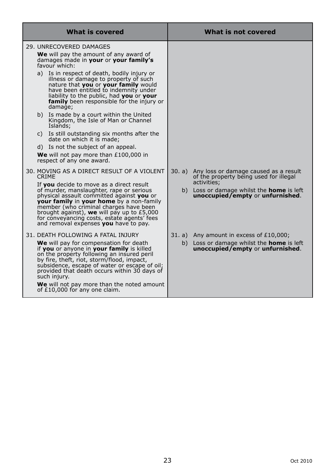| What is covered |                                                                                                                                                                                                                                                                                                                                                                                                                                                                                                                                                                                                                                                                                                           |    | What is not covered                                                                                                                                                                           |
|-----------------|-----------------------------------------------------------------------------------------------------------------------------------------------------------------------------------------------------------------------------------------------------------------------------------------------------------------------------------------------------------------------------------------------------------------------------------------------------------------------------------------------------------------------------------------------------------------------------------------------------------------------------------------------------------------------------------------------------------|----|-----------------------------------------------------------------------------------------------------------------------------------------------------------------------------------------------|
|                 | 29. UNRECOVERED DAMAGES<br>We will pay the amount of any award of<br>damages made in your or your family's<br>favour which:<br>a) Is in respect of death, bodily injury or<br>illness or damage to property of such<br>nature that you or your family would<br>have been entitled to indemnity under<br>liability to the public, had you or your<br>family been responsible for the injury or<br>damage;<br>b) Is made by a court within the United<br>Kingdom, the Isle of Man or Channel<br>Islands;<br>c) Is still outstanding six months after the<br>date on which it is made;<br>d) Is not the subject of an appeal.<br><b>We</b> will not pay more than $£100,000$ in<br>respect of any one award. |    |                                                                                                                                                                                               |
|                 | 30. MOVING AS A DIRECT RESULT OF A VIOLENT<br><b>CRIME</b><br>If you decide to move as a direct result<br>of murder, manslaughter, rape or serious<br>physical assault committed against you or<br><b>your family</b> in your home by a non-family<br>member (who criminal charges have been<br>brought against), we will pay up to $£5,000$<br>for conveyancing costs, estate agents' fees<br>and removal expenses you have to pay.                                                                                                                                                                                                                                                                      |    | 30. a) Any loss or damage caused as a result<br>of the property being used for illegal<br>activities:<br>b) Loss or damage whilst the <b>home</b> is left<br>unoccupied/empty or unfurnished. |
|                 | 31. DEATH FOLLOWING A FATAL INJURY<br>We will pay for compensation for death<br>if you or anyone in your family is killed<br>on the property following an insured peril<br>by fire, theft, riot, storm/flood, impact,<br>subsidence, escape of water or escape of oil;<br>provided that death occurs within 30 days of<br>such injury.<br>We will not pay more than the noted amount<br>of £10,000 for any one claim.                                                                                                                                                                                                                                                                                     | b) | 31. a) Any amount in excess of £10,000;<br>Loss or damage whilst the <b>home</b> is left<br>unoccupied/empty or unfurnished.                                                                  |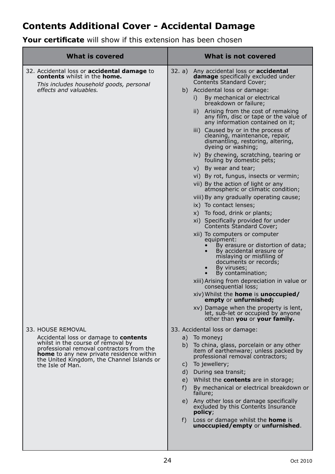# **Contents Additional Cover - Accidental Damage**

**Your certificate** will show if this extension has been chosen

| <b>What is covered</b>                                                                                                                                                                                                                                                    | What is not covered                                                                                                                                                                                                                                                                                                                                                                                                                                                                                                                                                                                                                                                                                                                                                                                                                                                                                                                                                                                                                                                                                                                                                                                                                                                                          |
|---------------------------------------------------------------------------------------------------------------------------------------------------------------------------------------------------------------------------------------------------------------------------|----------------------------------------------------------------------------------------------------------------------------------------------------------------------------------------------------------------------------------------------------------------------------------------------------------------------------------------------------------------------------------------------------------------------------------------------------------------------------------------------------------------------------------------------------------------------------------------------------------------------------------------------------------------------------------------------------------------------------------------------------------------------------------------------------------------------------------------------------------------------------------------------------------------------------------------------------------------------------------------------------------------------------------------------------------------------------------------------------------------------------------------------------------------------------------------------------------------------------------------------------------------------------------------------|
| 32. Accidental loss or <b>accidental damage</b> to<br><b>contents</b> whilst in the <b>home.</b><br>This includes household goods, personal<br>effects and valuables.                                                                                                     | Any accidental loss or <b>accidental</b><br>32. a)<br>damage specifically excluded under<br><b>Contents Standard Cover:</b><br>b) Accidental loss or damage:<br>By mechanical or electrical<br>i)<br>breakdown or failure;<br>Arising from the cost of remaking<br>ii)<br>any film, disc or tape or the value of<br>any information contained on it;<br>iii) Caused by or in the process of<br>cleaning, maintenance, repair,<br>dismantling, restoring, altering,<br>dyeing or washing;<br>iv) By chewing, scratching, tearing or<br>fouling by domestic pets;<br>v) By wear and tear;<br>vi) By rot, fungus, insects or vermin;<br>vii) By the action of light or any<br>atmospheric or climatic condition;<br>viii) By any gradually operating cause;<br>ix) To contact lenses;<br>x) To food, drink or plants;<br>xi) Specifically provided for under<br>Contents Standard Cover;<br>xii) To computers or computer<br>equipment:<br>By erasure or distortion of data;<br>By accidental erasure or<br>mislaying or misfiling of<br>documents or records;<br>By viruses;<br>By contamination;<br>xiii) Arising from depreciation in value or<br>consequential loss;<br>xiv) Whilst the <b>home</b> is <b>unoccupied/</b><br>empty or unfurnished;<br>xv) Damage when the property is lent, |
| 33. HOUSE REMOVAL<br>Accidental loss or damage to <b>contents</b><br>whilst in the course of removal by<br>professional removal contractors from the<br><b>home</b> to any new private residence within<br>the United Kingdom, the Channel Islands or<br>the Isle of Man. | let, sub-let or occupied by anyone<br>other than you or your family.<br>33. Accidental loss or damage:<br>a)<br>To money;<br>To china, glass, porcelain or any other<br>b)<br>item of earthenware; unless packed by<br>professional removal contractors;<br>To jewellery;<br>C)<br>d)<br>During sea transit;<br>Whilst the <b>contents</b> are in storage;<br>e)<br>By mechanical or electrical breakdown or<br>f)<br>failure;<br>Any other loss or damage specifically<br>e)<br>excluded by this Contents Insurance<br>policy;<br>f)<br>Loss or damage whilst the <b>home</b> is<br>unoccupied/empty or unfurnished.                                                                                                                                                                                                                                                                                                                                                                                                                                                                                                                                                                                                                                                                        |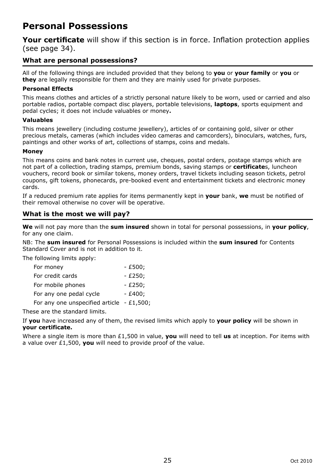# **Personal Possessions**

**Your certificate** will show if this section is in force. Inflation protection applies (see page 34).

# **What are personal possessions?**

All of the following things are included provided that they belong to **you** or **your family** or **you** or **they** are legally responsible for them and they are mainly used for private purposes.

#### **Personal Effects**

This means clothes and articles of a strictly personal nature likely to be worn, used or carried and also portable radios, portable compact disc players, portable televisions, **laptops**, sports equipment and pedal cycles; it does not include valuables or money**.**

#### **Valuables**

This means jewellery (including costume jewellery), articles of or containing gold, silver or other precious metals, cameras (which includes video cameras and camcorders), binoculars, watches, furs, paintings and other works of art, collections of stamps, coins and medals.

#### **Money**

This means coins and bank notes in current use, cheques, postal orders, postage stamps which are not part of a collection, trading stamps, premium bonds, saving stamps or **certificate**s, luncheon vouchers, record book or similar tokens, money orders, travel tickets including season tickets, petrol coupons, gift tokens, phonecards, pre-booked event and entertainment tickets and electronic money cards.

If a reduced premium rate applies for items permanently kept in **your** bank, **we** must be notified of their removal otherwise no cover will be operative.

### **What is the most we will pay?**

**We** will not pay more than the **sum insured** shown in total for personal possessions, in **your policy**, for any one claim.

NB: The **sum insured** for Personal Possessions is included within the **sum insured** for Contents Standard Cover and is not in addition to it.

The following limits apply:

| For money                                   | $- E500:$ |
|---------------------------------------------|-----------|
| For credit cards                            | $- E250:$ |
| For mobile phones                           | $- E250;$ |
| For any one pedal cycle                     | $- E400:$ |
| For any one unspecified article - $£1,500;$ |           |

These are the standard limits.

If **you** have increased any of them, the revised limits which apply to **your policy** will be shown in **your certificate.** 

Where a single item is more than £1,500 in value, **you** will need to tell **us** at inception. For items with a value over £1,500, **you** will need to provide proof of the value.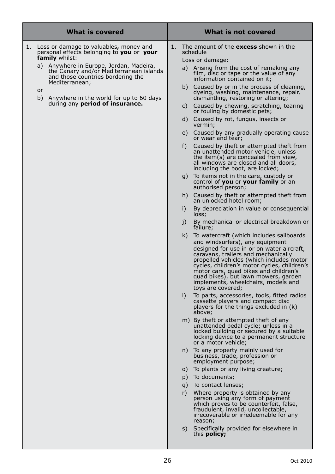| <b>What is covered</b> |                                                                                                                                                                                                                                                                                                                                                      |                            | What is not covered                                                                                                                                                                                                                                                                                                                                                                                                                                                                                                                                                                                                                                                                                                              |  |  |
|------------------------|------------------------------------------------------------------------------------------------------------------------------------------------------------------------------------------------------------------------------------------------------------------------------------------------------------------------------------------------------|----------------------------|----------------------------------------------------------------------------------------------------------------------------------------------------------------------------------------------------------------------------------------------------------------------------------------------------------------------------------------------------------------------------------------------------------------------------------------------------------------------------------------------------------------------------------------------------------------------------------------------------------------------------------------------------------------------------------------------------------------------------------|--|--|
| 1.<br>or               | Loss or damage to valuables, money and<br>personal effects belonging to you or your<br><b>family</b> whilst:<br>Anywhere in Europe, Jordan, Madeira,<br>a)<br>the Canary and/or Mediterranean islands<br>and those countries bordering the<br>Mediterranean;<br>b) Anywhere in the world for up to 60 days<br>during any <b>period of insurance.</b> | 1.<br>b)<br>C)<br>d)<br>f) | The amount of the <b>excess</b> shown in the<br>schedule<br>Loss or damage:<br>a) Arising from the cost of remaking any<br>film, disc or tape or the value of any<br>information contained on it;<br>Caused by or in the process of cleaning,<br>dyeing, washing, maintenance, repair,<br>dismantling, restoring or altering;<br>Caused by chewing, scratching, tearing<br>or fouling by domestic pets;<br>Caused by rot, fungus, insects or<br>vermin;<br>e) Caused by any gradually operating cause<br>or wear and tear;<br>Caused by theft or attempted theft from<br>an unattended motor vehicle, unless<br>the item(s) are concealed from view,<br>all windows are closed and all doors,<br>including the boot, are locked; |  |  |
|                        |                                                                                                                                                                                                                                                                                                                                                      |                            | g) To items not in the care, custody or<br>control of you or your family or an<br>authorised person;                                                                                                                                                                                                                                                                                                                                                                                                                                                                                                                                                                                                                             |  |  |
|                        |                                                                                                                                                                                                                                                                                                                                                      | h)                         | Caused by theft or attempted theft from<br>an unlocked hotel room;                                                                                                                                                                                                                                                                                                                                                                                                                                                                                                                                                                                                                                                               |  |  |
|                        |                                                                                                                                                                                                                                                                                                                                                      | i)                         | By depreciation in value or consequential<br>loss;                                                                                                                                                                                                                                                                                                                                                                                                                                                                                                                                                                                                                                                                               |  |  |
|                        |                                                                                                                                                                                                                                                                                                                                                      | j)                         | By mechanical or electrical breakdown or<br>failure;                                                                                                                                                                                                                                                                                                                                                                                                                                                                                                                                                                                                                                                                             |  |  |
|                        |                                                                                                                                                                                                                                                                                                                                                      | k)                         | To watercraft (which includes sailboards<br>and windsurfers), any equipment<br>designed for use in or on water aircraft,<br>caravans, trailers and mechanically<br>propelled vehicles (which includes motor<br>cycles, children's motor cycles, children's<br>motor cars, quad bikes and children's<br>quad bikes), but lawn mowers, garden<br>implements, wheelchairs, models and<br>toys are covered;                                                                                                                                                                                                                                                                                                                          |  |  |
|                        |                                                                                                                                                                                                                                                                                                                                                      | $\vert$                    | To parts, accessories, tools, fitted radios<br>cassette players and compact disc<br>players for the things excluded in (k)<br>above;                                                                                                                                                                                                                                                                                                                                                                                                                                                                                                                                                                                             |  |  |
|                        |                                                                                                                                                                                                                                                                                                                                                      |                            | m) By theft or attempted theft of any<br>unattended pedal cycle; unless in a<br>locked building or secured by a suitable<br>locking device to a permanent structure<br>or a motor vehicle;                                                                                                                                                                                                                                                                                                                                                                                                                                                                                                                                       |  |  |
|                        |                                                                                                                                                                                                                                                                                                                                                      |                            | n) To any property mainly used for<br>business, trade, profession or<br>employment purpose;                                                                                                                                                                                                                                                                                                                                                                                                                                                                                                                                                                                                                                      |  |  |
|                        |                                                                                                                                                                                                                                                                                                                                                      | O)                         | To plants or any living creature;                                                                                                                                                                                                                                                                                                                                                                                                                                                                                                                                                                                                                                                                                                |  |  |
|                        |                                                                                                                                                                                                                                                                                                                                                      | p)                         | To documents;<br>q) To contact lenses;                                                                                                                                                                                                                                                                                                                                                                                                                                                                                                                                                                                                                                                                                           |  |  |
|                        |                                                                                                                                                                                                                                                                                                                                                      | r)                         | Where property is obtained by any<br>person using any form of payment<br>which proves to be counterfeit, false,<br>fraudulent, invalid, uncollectable,<br>irrecoverable or irredeemable for any<br>reason;                                                                                                                                                                                                                                                                                                                                                                                                                                                                                                                       |  |  |
|                        |                                                                                                                                                                                                                                                                                                                                                      | S)                         | Specifically provided for elsewhere in<br>this <b>policy;</b>                                                                                                                                                                                                                                                                                                                                                                                                                                                                                                                                                                                                                                                                    |  |  |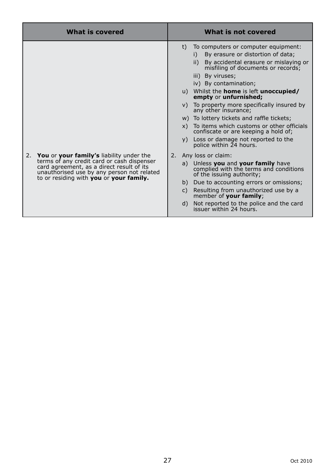|                                                                                                                                     | <b>What is covered</b>                                                                   |    | What is not covered                                                                                                                                                                                                                                                                                                                                                                                                                                                                                                                                                             |
|-------------------------------------------------------------------------------------------------------------------------------------|------------------------------------------------------------------------------------------|----|---------------------------------------------------------------------------------------------------------------------------------------------------------------------------------------------------------------------------------------------------------------------------------------------------------------------------------------------------------------------------------------------------------------------------------------------------------------------------------------------------------------------------------------------------------------------------------|
|                                                                                                                                     |                                                                                          | t) | To computers or computer equipment:<br>By erasure or distortion of data;<br>i)<br>ii) By accidental erasure or mislaying or<br>misfiling of documents or records;<br>iii) By viruses;<br>iv) By contamination;<br>u) Whilst the <b>home</b> is left <b>unoccupied/</b><br>empty or unfurnished;<br>v) To property more specifically insured by<br>any other insurance;<br>w) To lottery tickets and raffle tickets;<br>x) To items which customs or other officials<br>confiscate or are keeping a hold of;<br>y) Loss or damage not reported to the<br>police within 24 hours. |
| 2. You or your family's liability under the<br>card agreement, as a direct result of its<br>to or residing with you or your family. | terms of any credit card or cash dispenser<br>unauthorised use by any person not related | C) | 2. Any loss or claim:<br>a) Unless you and your family have<br>complied with the terms and conditions<br>of the issuing authority;<br>b) Due to accounting errors or omissions;<br>Resulting from unauthorized use by a<br>member of your family;<br>d) Not reported to the police and the card<br>issuer within 24 hours.                                                                                                                                                                                                                                                      |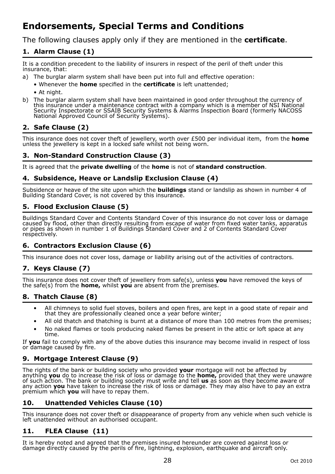# **Endorsements, Special Terms and Conditions**

The following clauses apply only if they are mentioned in the **certificate**.

# **1. Alarm Clause (1)**

It is a condition precedent to the liability of insurers in respect of the peril of theft under this insurance, that:

- a) The burglar alarm system shall have been put into full and effective operation:
	- Whenever the **home** specified in the **certificate** is left unattended;
	- At night.
- b) The burglar alarm system shall have been maintained in good order throughout the currency of this insurance under a maintenance contract with a company which is a member of NSI National Security Inspectorate or SSAIB Security Systems & Alarms Inspection Board (formerly NACOSS National Approved Council of Security Systems).

# **2. Safe Clause (2)**

This insurance does not cover theft of jewellery, worth over £500 per individual item, from the **home** unless the jewellery is kept in a locked safe whilst not being worn.

### **3. Non-Standard Construction Clause (3)**

It is agreed that the **private dwelling** of the **home** is not of **standard construction**.

#### **4. Subsidence, Heave or Landslip Exclusion Clause (4)**

Subsidence or heave of the site upon which the **buildings** stand or landslip as shown in number 4 of Building Standard Cover, is not covered by this insurance.

# **5. Flood Exclusion Clause (5)**

Buildings Standard Cover and Contents Standard Cover of this insurance do not cover loss or damage caused by flood, other than directly resulting from escape of water from fixed water tanks, apparatus or pipes as shown in number 1 of Buildings Standard Cover and 2 of Contents Standard Cover respectively.

# **6. Contractors Exclusion Clause (6)**

This insurance does not cover loss, damage or liability arising out of the activities of contractors.

# **7. Keys Clause (7)**

This insurance does not cover theft of jewellery from safe(s), unless **you** have removed the keys of the safe(s) from the **home,** whilst **you** are absent from the premises.

# **8. Thatch Clause (8)**

- All chimneys to solid fuel stoves, boilers and open fires, are kept in a good state of repair and that they are professionally cleaned once a year before winter;
- All old thatch and thatching is burnt at a distance of more than 100 metres from the premises;
- No naked flames or tools producing naked flames be present in the attic or loft space at any time.

If **you** fail to comply with any of the above duties this insurance may become invalid in respect of loss or damage caused by fire.

# **9. Mortgage Interest Clause (9)**

The rights of the bank or building society who provided **your** mortgage will not be affected by<br>anything **you** do to increase the risk of loss or damage to the **home,** provided that they were unaware<br>of such action. The ba any action **you** have taken to increase the risk of loss or damage. They may also have to pay an extra premium which **you** will have to repay them.

### **10. Unattended Vehicles Clause (10)**

This insurance does not cover theft or disappearance of property from any vehicle when such vehicle is left unattended without an authorised occupant.

### **11. FLEA Clause (11)**

It is hereby noted and agreed that the premises insured hereunder are covered against loss or damage directly caused by the perils of fire, lightning, explosion, earthquake and aircraft only.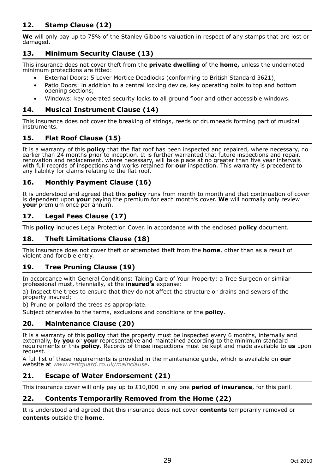# **12. Stamp Clause (12)**

**We** will only pay up to 75% of the Stanley Gibbons valuation in respect of any stamps that are lost or damaged.

# **13. Minimum Security Clause (13)**

This insurance does not cover theft from the **private dwelling** of the **home,** unless the undernoted minimum protections are fitted:

- External Doors: 5 Lever Mortice Deadlocks (conforming to British Standard 3621);
- Patio Doors: in addition to a central locking device, key operating bolts to top and bottom opening sections;
- Windows: key operated security locks to all ground floor and other accessible windows.

### **14. Musical Instrument Clause (14)**

This insurance does not cover the breaking of strings, reeds or drumheads forming part of musical instruments.

# **15. Flat Roof Clause (15)**

It is a warranty of this **policy** that the flat roof has been inspected and repaired, where necessary, no earlier than 24 months prior to inception. It is further warranted that future inspections and repair,<br>renovation and replacement, where necessary, will take place at no greater than five year intervals<br>with full records o

### **16. Monthly Payment Clause (16)**

It is understood and agreed that this **policy** runs from month to month and that continuation of cover is dependent upon **your** paying the premium for each month's cover. **We** will normally only review **your** premium once per annum.

# **17. Legal Fees Clause (17)**

This **policy** includes Legal Protection Cover, in accordance with the enclosed **policy** document.

# **18. Theft Limitations Clause (18)**

This insurance does not cover theft or attempted theft from the **home**, other than as a result of violent and forcible entry.

### **19. Tree Pruning Clause (19)**

In accordance with General Conditions: Taking Care of Your Property; a Tree Surgeon or similar professional must, triennially, at the **insured's** expense:

a) Inspect the trees to ensure that they do not affect the structure or drains and sewers of the property insured;

b) Prune or pollard the trees as appropriate.

Subject otherwise to the terms, exclusions and conditions of the **policy**.

### **20. Maintenance Clause (20)**

It is a warranty of this **policy** that the property must be inspected every 6 months, internally and<br>externally, by you or your representative and maintained according to the minimum standard<br>requirements of this **policy**. request.

A full list of these requirements is provided in the maintenance guide, which is available on **our** website at *www.rentguard.co.uk/mainclause*.

### **21. Escape of Water Endorsement (21)**

This insurance cover will only pay up to £10,000 in any one **period of insurance**, for this peril.

#### **22. Contents Temporarily Removed from the Home (22)**

It is understood and agreed that this insurance does not cover **contents** temporarily removed or **contents** outside the **home**.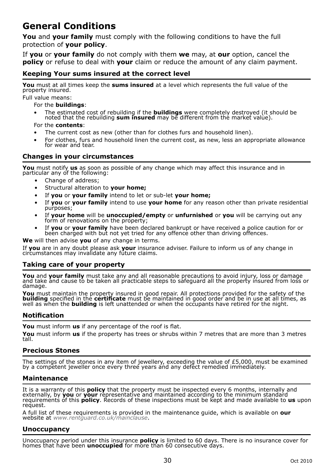# **General Conditions**

**You** and **your family** must comply with the following conditions to have the full protection of **your policy**.

If **you** or **your family** do not comply with them **we** may, at **our** option, cancel the **policy** or refuse to deal with **your** claim or reduce the amount of any claim payment.

### **Keeping Your sums insured at the correct level**

**You** must at all times keep the **sums insured** at a level which represents the full value of the property insured.

Full value means:

For the **buildings**:

• The estimated cost of rebuilding if the **buildings** were completely destroyed (it should be noted that the rebuilding **sum insured** may be different from the market value).

For the **contents**:

- The current cost as new (other than for clothes furs and household linen).
- For clothes, furs and household linen the current cost, as new, less an appropriate allowance for wear and tear.

### **Changes in your circumstances**

**You** must notify **us** as soon as possible of any change which may affect this insurance and in particular any of the following:

- Change of address;
- Structural alteration to **your home;**
- If **you** or **your family** intend to let or sub-let **your home;**
- If **you** or **your family** intend to use **your home** for any reason other than private residential purposes;
- If **your home** will be **unoccupied/empty** or **unfurnished** or **you** will be carrying out any form of renovations on the property;
- If **you** or **your family** have been declared bankrupt or have received a police caution for or been charged with but not yet tried for any offence other than driving offences.

**We** will then advise **you** of any change in terms.

If **you** are in any doubt please ask **your** insurance adviser. Failure to inform us of any change in circumstances may invalidate any future claims.

### **Taking care of your property**

**You** and **your family** must take any and all reasonable precautions to avoid injury, loss or damage and take and cause to be taken all practicable steps to safeguard all the property insured from loss or damage.

You must maintain the property insured in good repair. All protections provided for the safety of the safety of the certificate must be posited in the control of the will be well as well as well as well as well as well as

#### **Notification**

**You** must inform **us** if any percentage of the roof is flat.

**You** must inform **us** if the property has trees or shrubs within 7 metres that are more than 3 metres tall.

#### **Precious Stones**

The settings of the stones in any item of jewellery, exceeding the value of £5,000, must be examined by a competent jeweller once every three years and any defect remedied immediately.

#### **Maintenance**

It is a warranty of this **policy** that the property must be inspected every 6 months, internally and<br>externally, by you or your representative and maintained according to the minimum standard<br>requirements of this **policy**. request.

A full list of these requirements is provided in the maintenance guide, which is available on **our** website at *www.rentguard.co.uk/mainclause*.

#### **Unoccupancy**

Unoccupancy period under this insurance **policy** is limited to 60 days. There is no insurance cover for homes that have been **unoccupied** for more than 60 consecutive days.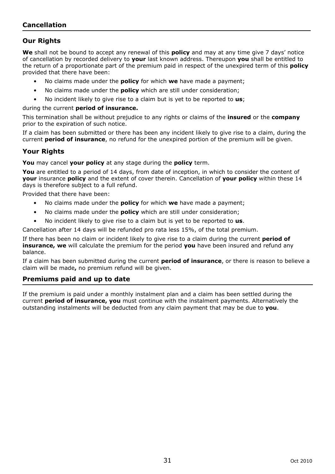# **Cancellation**

### **Our Rights**

**We** shall not be bound to accept any renewal of this **policy** and may at any time give 7 days' notice of cancellation by recorded delivery to **your** last known address. Thereupon **you** shall be entitled to the return of a proportionate part of the premium paid in respect of the unexpired term of this **policy** provided that there have been:

- No claims made under the **policy** for which **we** have made a payment;
- No claims made under the **policy** which are still under consideration;
- No incident likely to give rise to a claim but is yet to be reported to **us**;

during the current **period of insurance.**

This termination shall be without prejudice to any rights or claims of the **insured** or the **company** prior to the expiration of such notice.

If a claim has been submitted or there has been any incident likely to give rise to a claim, during the current **period of insurance**, no refund for the unexpired portion of the premium will be given.

#### **Your Rights**

**You** may cancel **your policy** at any stage during the **policy** term.

You are entitled to a period of 14 days, from date of inception, in which to consider the content of **your** insurance **policy** and the extent of cover therein. Cancellation of **your policy** within these 14 days is therefore subject to a full refund.

Provided that there have been:

- No claims made under the **policy** for which **we** have made a payment;
- No claims made under the **policy** which are still under consideration;
- No incident likely to give rise to a claim but is yet to be reported to **us**.

Cancellation after 14 days will be refunded pro rata less 15%, of the total premium.

If there has been no claim or incident likely to give rise to a claim during the current **period of insurance, we** will calculate the premium for the period **you** have been insured and refund any balance.

If a claim has been submitted during the current **period of insurance**, or there is reason to believe a claim will be made**,** no premium refund will be given.

#### **Premiums paid and up to date**

If the premium is paid under a monthly instalment plan and a claim has been settled during the current **period of insurance, you** must continue with the instalment payments. Alternatively the outstanding instalments will be deducted from any claim payment that may be due to **you**.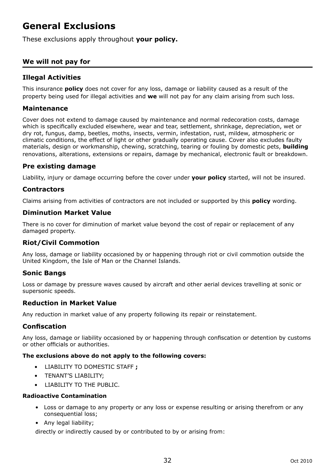# **General Exclusions**

These exclusions apply throughout **your policy.** 

# **We will not pay for**

# **Illegal Activities**

This insurance **policy** does not cover for any loss, damage or liability caused as a result of the property being used for illegal activities and **we** will not pay for any claim arising from such loss.

#### **Maintenance**

Cover does not extend to damage caused by maintenance and normal redecoration costs, damage which is specifically excluded elsewhere, wear and tear, settlement, shrinkage, depreciation, wet or dry rot, fungus, damp, beetles, moths, insects, vermin, infestation, rust, mildew, atmospheric or climatic conditions, the effect of light or other gradually operating cause. Cover also excludes faulty materials, design or workmanship, chewing, scratching, tearing or fouling by domestic pets, **building** renovations, alterations, extensions or repairs, damage by mechanical, electronic fault or breakdown.

### **Pre existing damage**

Liability, injury or damage occurring before the cover under **your policy** started, will not be insured.

### **Contractors**

Claims arising from activities of contractors are not included or supported by this **policy** wording.

#### **Diminution Market Value**

There is no cover for diminution of market value beyond the cost of repair or replacement of any damaged property.

### **Riot/Civil Commotion**

Any loss, damage or liability occasioned by or happening through riot or civil commotion outside the United Kingdom, the Isle of Man or the Channel Islands.

### **Sonic Bangs**

Loss or damage by pressure waves caused by aircraft and other aerial devices travelling at sonic or supersonic speeds.

### **Reduction in Market Value**

Any reduction in market value of any property following its repair or reinstatement.

### **Confiscation**

Any loss, damage or liability occasioned by or happening through confiscation or detention by customs or other officials or authorities.

#### **The exclusions above do not apply to the following covers:**

- LIABILITY TO DOMESTIC STAFF **;**
- TENANT'S LIABILITY;
- LIABILITY TO THE PUBLIC.

#### **Radioactive Contamination**

- Loss or damage to any property or any loss or expense resulting or arising therefrom or any consequential loss;
- Any legal liability;

directly or indirectly caused by or contributed to by or arising from: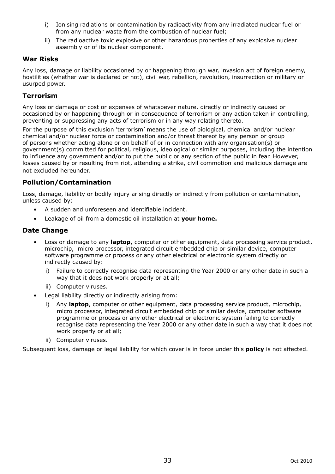- i) Ionising radiations or contamination by radioactivity from any irradiated nuclear fuel or from any nuclear waste from the combustion of nuclear fuel;
- ii) The radioactive toxic explosive or other hazardous properties of any explosive nuclear assembly or of its nuclear component.

### **War Risks**

Any loss, damage or liability occasioned by or happening through war, invasion act of foreign enemy, hostilities (whether war is declared or not), civil war, rebellion, revolution, insurrection or military or usurped power.

#### **Terrorism**

Any loss or damage or cost or expenses of whatsoever nature, directly or indirectly caused or occasioned by or happening through or in consequence of terrorism or any action taken in controlling, preventing or suppressing any acts of terrorism or in any way relating thereto.

For the purpose of this exclusion 'terrorism' means the use of biological, chemical and/or nuclear chemical and/or nuclear force or contamination and/or threat thereof by any person or group of persons whether acting alone or on behalf of or in connection with any organisation(s) or government(s) committed for political, religious, ideological or similar purposes, including the intention to influence any government and/or to put the public or any section of the public in fear. However, losses caused by or resulting from riot, attending a strike, civil commotion and malicious damage are not excluded hereunder.

### **Pollution/Contamination**

Loss, damage, liability or bodily injury arising directly or indirectly from pollution or contamination, unless caused by:

- A sudden and unforeseen and identifiable incident.
- Leakage of oil from a domestic oil installation at **your home.**

### **Date Change**

- Loss or damage to any **laptop**, computer or other equipment, data processing service product, microchip, micro processor, integrated circuit embedded chip or similar device, computer software programme or process or any other electrical or electronic system directly or indirectly caused by:
	- i) Failure to correctly recognise data representing the Year 2000 or any other date in such a way that it does not work properly or at all;
	- ii) Computer viruses.
- Legal liability directly or indirectly arising from:
	- i) Any **laptop**, computer or other equipment, data processing service product, microchip, micro processor, integrated circuit embedded chip or similar device, computer software programme or process or any other electrical or electronic system failing to correctly recognise data representing the Year 2000 or any other date in such a way that it does not work properly or at all:
	- ii) Computer viruses.

Subsequent loss, damage or legal liability for which cover is in force under this **policy** is not affected.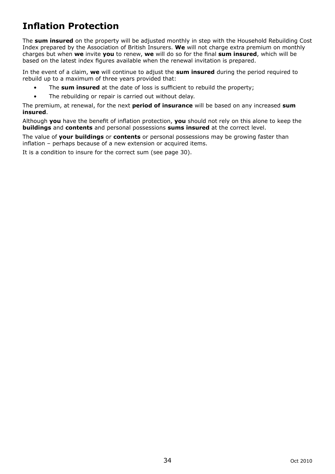# **Inflation Protection**

The **sum insured** on the property will be adjusted monthly in step with the Household Rebuilding Cost Index prepared by the Association of British Insurers. **We** will not charge extra premium on monthly charges but when **we** invite **you** to renew, **we** will do so for the final **sum insured**, which will be based on the latest index figures available when the renewal invitation is prepared.

In the event of a claim, **we** will continue to adjust the **sum insured** during the period required to rebuild up to a maximum of three years provided that:

- The **sum insured** at the date of loss is sufficient to rebuild the property;
- The rebuilding or repair is carried out without delay.

The premium, at renewal, for the next **period of insurance** will be based on any increased **sum insured**.

Although **you** have the benefit of inflation protection, **you** should not rely on this alone to keep the **buildings** and **contents** and personal possessions **sums insured** at the correct level.

The value of **your buildings** or **contents** or personal possessions may be growing faster than inflation – perhaps because of a new extension or acquired items.

It is a condition to insure for the correct sum (see page 30).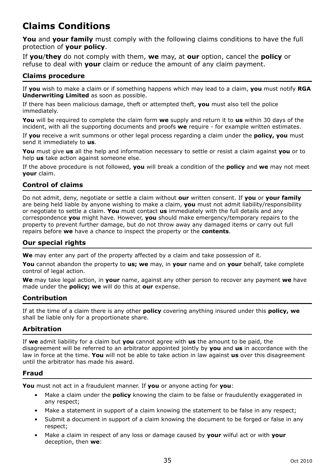# **Claims Conditions**

**You** and **your family** must comply with the following claims conditions to have the full protection of **your policy**.

If **you**/**they** do not comply with them, **we** may, at **our** option, cancel the **policy** or refuse to deal with **your** claim or reduce the amount of any claim payment.

# **Claims procedure**

If **you** wish to make a claim or if something happens which may lead to a claim, **you** must notify **RGA Underwriting Limited** as soon as possible.

If there has been malicious damage, theft or attempted theft, **you** must also tell the police immediately.

**You** will be required to complete the claim form **we** supply and return it to **us** within 30 days of the incident, with all the supporting documents and proofs **we** require - for example written estimates.

If **you** receive a writ summons or other legal process regarding a claim under the **policy, you** must send it immediately to **us**.

**You** must give **us** all the help and information necessary to settle or resist a claim against **you** or to help **us** take action against someone else.

If the above procedure is not followed, **you** will break a condition of the **policy** and **we** may not meet **your** claim.

# **Control of claims**

Do not admit, deny, negotiate or settle a claim without **our** written consent. If **you** or **your family** are being held liable by anyone wishing to make a claim, **you** must not admit liability/responsibility or negotiate to settle a claim. **You** must contact **us** immediately with the full details and any correspondence **you** might have. However, **you** should make emergency/temporary repairs to the property to prevent further damage, but do not throw away any damaged items or carry out full repairs before **we** have a chance to inspect the property or the **contents**.

### **Our special rights**

**We** may enter any part of the property affected by a claim and take possession of it.

**You** cannot abandon the property to **us; we** may, in **your** name and on **your** behalf, take complete control of legal action.

**We** may take legal action, in **your** name, against any other person to recover any payment **we** have made under the **policy; we** will do this at **our** expense.

### **Contribution**

If at the time of a claim there is any other **policy** covering anything insured under this **policy, we** shall be liable only for a proportionate share.

### **Arbitration**

If **we** admit liability for a claim but **you** cannot agree with **us** the amount to be paid, the disagreement will be referred to an arbitrator appointed jointly by **you** and **us** in accordance with the law in force at the time. **You** will not be able to take action in law against **us** over this disagreement until the arbitrator has made his award.

### **Fraud**

**You** must not act in a fraudulent manner. If **you** or anyone acting for **you**:

- Make a claim under the **policy** knowing the claim to be false or fraudulently exaggerated in any respect;
- Make a statement in support of a claim knowing the statement to be false in any respect;
- Submit a document in support of a claim knowing the document to be forged or false in any respect;
- Make a claim in respect of any loss or damage caused by **your** wilful act or with **your** deception, then **we**: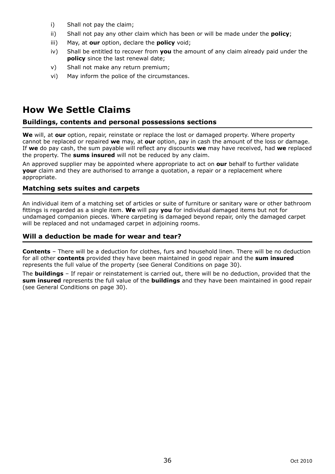- i) Shall not pay the claim;
- ii) Shall not pay any other claim which has been or will be made under the **policy**;
- iii) May, at **our** option, declare the **policy** void;
- iv) Shall be entitled to recover from **you** the amount of any claim already paid under the **policy** since the last renewal date:
- v) Shall not make any return premium;
- vi) May inform the police of the circumstances.

# **How We Settle Claims**

#### **Buildings, contents and personal possessions sections**

**We** will, at **our** option, repair, reinstate or replace the lost or damaged property. Where property cannot be replaced or repaired **we** may, at **our** option, pay in cash the amount of the loss or damage. If **we** do pay cash, the sum payable will reflect any discounts **we** may have received, had **we** replaced the property. The **sums insured** will not be reduced by any claim.

An approved supplier may be appointed where appropriate to act on **our** behalf to further validate **your** claim and they are authorised to arrange a quotation, a repair or a replacement where appropriate.

#### **Matching sets suites and carpets**

An individual item of a matching set of articles or suite of furniture or sanitary ware or other bathroom fittings is regarded as a single item. **We** will pay **you** for individual damaged items but not for undamaged companion pieces. Where carpeting is damaged beyond repair, only the damaged carpet will be replaced and not undamaged carpet in adjoining rooms.

#### **Will a deduction be made for wear and tear?**

**Contents** – There will be a deduction for clothes, furs and household linen. There will be no deduction for all other **contents** provided they have been maintained in good repair and the **sum insured** represents the full value of the property (see General Conditions on page 30).

The **buildings** – If repair or reinstatement is carried out, there will be no deduction, provided that the **sum insured** represents the full value of the **buildings** and they have been maintained in good repair (see General Conditions on page 30).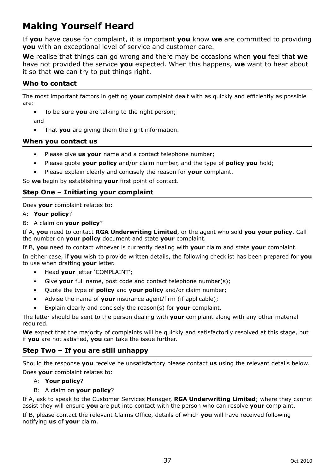# **Making Yourself Heard**

If **you** have cause for complaint, it is important **you** know **we** are committed to providing **you** with an exceptional level of service and customer care.

**We** realise that things can go wrong and there may be occasions when **you** feel that **we** have not provided the service **you** expected. When this happens, **we** want to hear about it so that **we** can try to put things right.

# **Who to contact**

The most important factors in getting **your** complaint dealt with as quickly and efficiently as possible are:

• To be sure **you** are talking to the right person;

and

• That **you** are giving them the right information.

### **When you contact us**

- Please give **us your** name and a contact telephone number;
- Please quote **your policy** and/or claim number, and the type of **policy you** hold;
- Please explain clearly and concisely the reason for **your** complaint.

So **we** begin by establishing **your** first point of contact.

### **Step One – Initiating your complaint**

Does **your** complaint relates to:

#### A: **Your policy**?

B: A claim on **your policy**?

If A, **you** need to contact **RGA Underwriting Limited**, or the agent who sold **you your policy**. Call the number on **your policy** document and state **your** complaint.

If B, **you** need to contact whoever is currently dealing with **your** claim and state **your** complaint.

In either case, if **you** wish to provide written details, the following checklist has been prepared for **you** to use when drafting **your** letter.

- Head **your** letter 'COMPLAINT';
- Give **vour** full name, post code and contact telephone number(s):
- Quote the type of **policy** and **your policy** and/or claim number;
- Advise the name of **your** insurance agent/firm (if applicable);
- Explain clearly and concisely the reason(s) for **your** complaint.

The letter should be sent to the person dealing with **your** complaint along with any other material required.

**We** expect that the majority of complaints will be quickly and satisfactorily resolved at this stage, but if **you** are not satisfied, **you** can take the issue further.

### **Step Two – If you are still unhappy**

Should the response **you** receive be unsatisfactory please contact **us** using the relevant details below. Does **your** complaint relates to:

#### A: **Your policy**?

B: A claim on **your policy**?

If A, ask to speak to the Customer Services Manager, **RGA Underwriting Limited**; where they cannot assist they will ensure **you** are put into contact with the person who can resolve **your** complaint.

If B, please contact the relevant Claims Office, details of which **you** will have received following notifying **us** of **your** claim.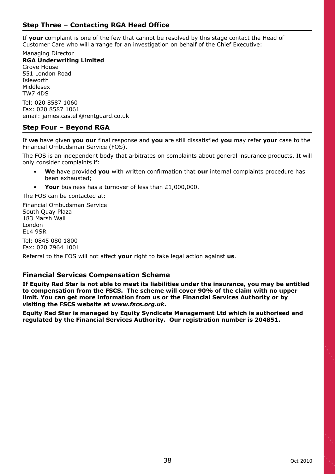# **Step Three – Contacting RGA Head Office**

If **your** complaint is one of the few that cannot be resolved by this stage contact the Head of Customer Care who will arrange for an investigation on behalf of the Chief Executive:

Managing Director **RGA Underwriting Limited** Grove House 551 London Road **I**cleworth Middlesex TW7 4DS Tel: 020 8587 1060 Fax: 020 8587 1061 email: james.castell@rentguard.co.uk

#### **Step Four – Beyond RGA**

If **we** have given **you our** final response and **you** are still dissatisfied **you** may refer **your** case to the Financial Ombudsman Service (FOS).

The FOS is an independent body that arbitrates on complaints about general insurance products. It will only consider complaints if:

- **We** have provided **you** with written confirmation that **our** internal complaints procedure has been exhausted;
- Your business has a turnover of less than £1,000,000.

The FOS can be contacted at:

Financial Ombudsman Service South Quay Plaza 183 Marsh Wall London E14 9SR

Tel: 0845 080 1800 Fax: 020 7964 1001

Referral to the FOS will not affect **your** right to take legal action against **us**.

#### **Financial Services Compensation Scheme**

**If Equity Red Star is not able to meet its liabilities under the insurance, you may be entitled to compensation from the FSCS. The scheme will cover 90% of the claim with no upper limit. You can get more information from us or the Financial Services Authority or by visiting the FSCS website at** *www.fscs.org.uk***.**

**Equity Red Star is managed by Equity Syndicate Management Ltd which is authorised and regulated by the Financial Services Authority. Our registration number is 204851.**